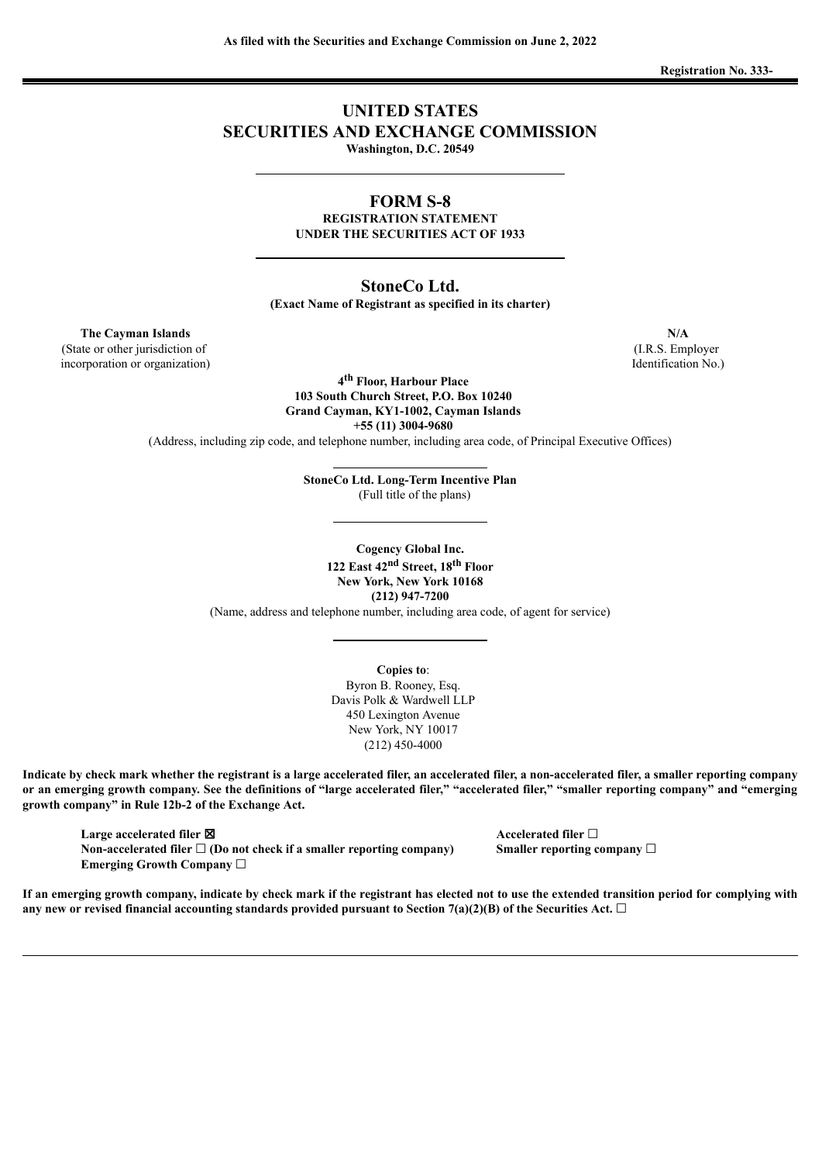**Registration No. 333-**

# **UNITED STATES SECURITIES AND EXCHANGE COMMISSION Washington, D.C. 20549**

# **FORM S-8**

**REGISTRATION STATEMENT UNDER THE SECURITIES ACT OF 1933**

# **StoneCo Ltd.**

**(Exact Name of Registrant as specified in its charter)**

**The Cayman Islands N/A** (State or other jurisdiction of

incorporation or organization)

**4 th Floor, Harbour Place 103 South Church Street, P.O. Box 10240 Grand Cayman, KY1-1002, Cayman Islands +55 (11) 3004-9680**

(Address, including zip code, and telephone number, including area code, of Principal Executive Offices)

**StoneCo Ltd. Long-Term Incentive Plan** (Full title of the plans)

**Cogency Global Inc. 122 East 42 nd Street, 18 th Floor New York, New York 10168 (212) 947-7200**

(Name, address and telephone number, including area code, of agent for service)

**Copies to**: Byron B. Rooney, Esq. Davis Polk & Wardwell LLP 450 Lexington Avenue New York, NY 10017 (212) 450-4000

Indicate by check mark whether the registrant is a large accelerated filer, an accelerated filer, a non-accelerated filer, a smaller reporting company or an emerging growth company. See the definitions of "large accelerated filer," "accelerated filer," "smaller reporting company" and "emerging **growth company" in Rule 12b-2 of the Exchange Act.**

**Large accelerated filer** ☒ **Accelerated filer** ☐ **Non-accelerated filer** ☐ **(Do not check if a smaller reporting company) Smaller reporting company** ☐ **Emerging Growth Company** ☐

If an emerging growth company, indicate by check mark if the registrant has elected not to use the extended transition period for complying with any new or revised financial accounting standards provided pursuant to Section 7(a)(2)(B) of the Securities Act.  $\Box$ 

(I.R.S. Employer Identification No.)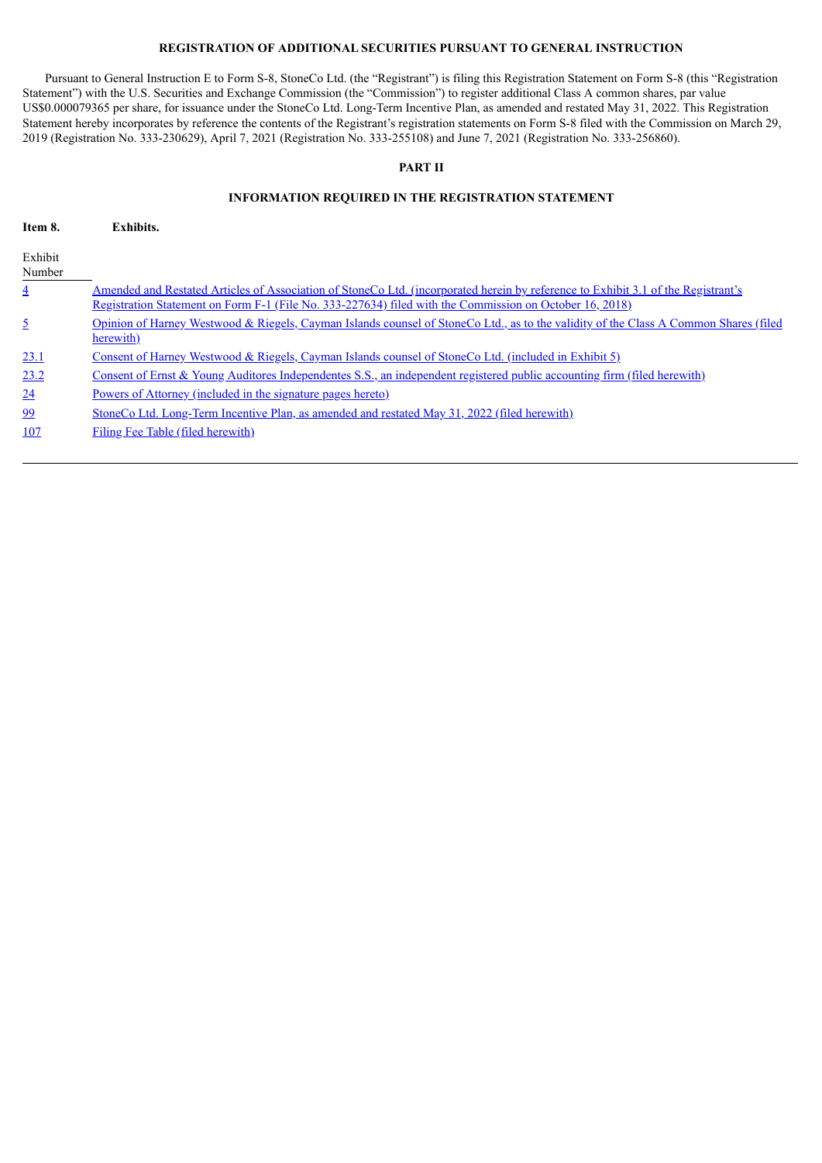# **REGISTRATION OF ADDITIONAL SECURITIES PURSUANT TO GENERAL INSTRUCTION**

Pursuant to General Instruction E to Form S-8, StoneCo Ltd. (the "Registrant") is filing this Registration Statement on Form S-8 (this "Registration Statement") with the U.S. Securities and Exchange Commission (the "Commission") to register additional Class A common shares, par value US\$0.000079365 per share, for issuance under the StoneCo Ltd. Long-Term Incentive Plan, as amended and restated May 31, 2022. This Registration Statement hereby incorporates by reference the contents of the Registrant's registration statements on Form S-8 filed with the Commission on March 29, 2019 (Registration No. 333-230629), April 7, 2021 (Registration No. 333-255108) and June 7, 2021 (Registration No. 333-256860).

# **PART II**

## **INFORMATION REQUIRED IN THE REGISTRATION STATEMENT**

| Item 8.           | Exhibits.                                                                                                                                                                                                                                           |
|-------------------|-----------------------------------------------------------------------------------------------------------------------------------------------------------------------------------------------------------------------------------------------------|
| Exhibit<br>Number |                                                                                                                                                                                                                                                     |
| $\overline{4}$    | Amended and Restated Articles of Association of StoneCo Ltd. (incorporated herein by reference to Exhibit 3.1 of the Registrant's<br><u>Registration Statement on Form F-1 (File No. 333-227634) filed with the Commission on October 16, 2018)</u> |
| $\overline{2}$    | Opinion of Harney Westwood & Riegels, Cayman Islands counsel of StoneCo Ltd., as to the validity of the Class A Common Shares (filed<br>herewith)                                                                                                   |
| <u>23.1</u>       | <u>Consent of Harney Westwood &amp; Riegels, Cayman Islands counsel of StoneCo Ltd. (included in Exhibit 5)</u>                                                                                                                                     |
| 23.2              | Consent of Ernst & Young Auditores Independentes S.S., an independent registered public accounting firm (filed herewith)                                                                                                                            |
| 24                | <u>Powers of Attorney (included in the signature pages hereto)</u>                                                                                                                                                                                  |
| 99                | StoneCo Ltd. Long-Term Incentive Plan, as amended and restated May 31, 2022 (filed herewith)                                                                                                                                                        |
| 107               | Filing Fee Table (filed herewith)                                                                                                                                                                                                                   |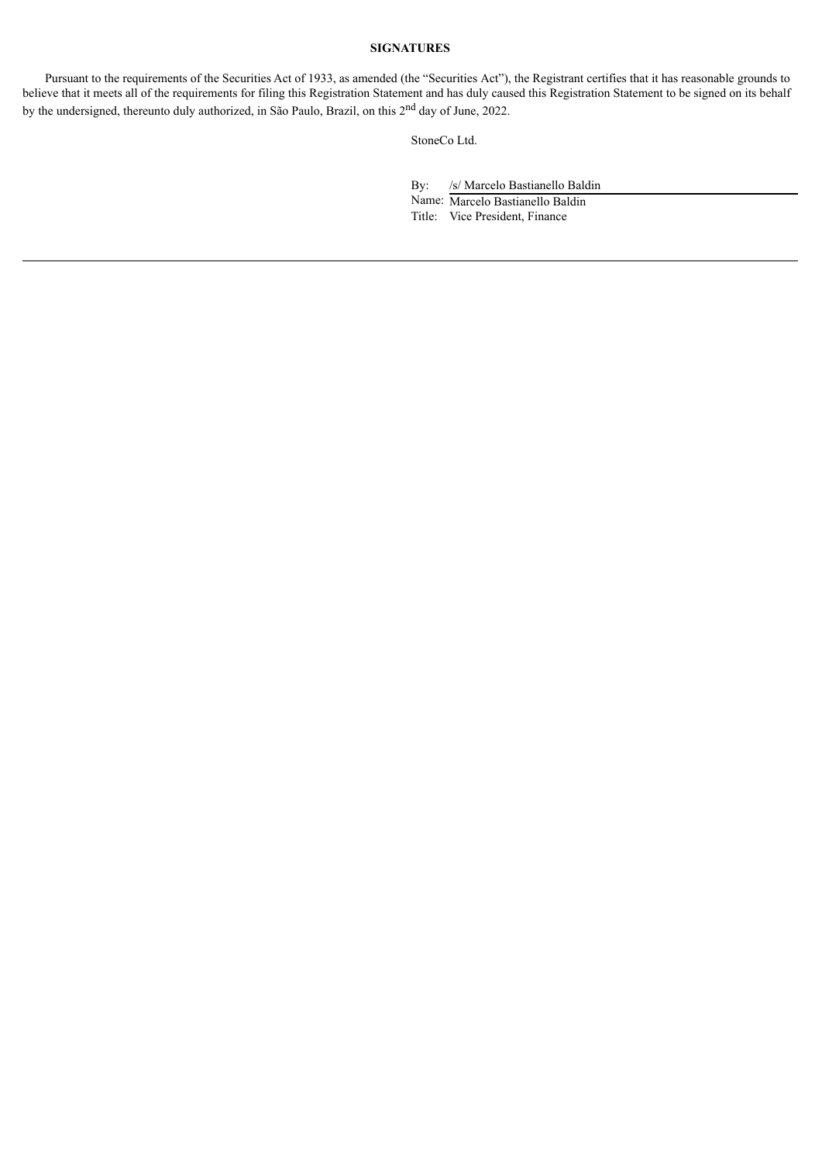# **SIGNATURES**

Pursuant to the requirements of the Securities Act of 1933, as amended (the "Securities Act"), the Registrant certifies that it has reasonable grounds to believe that it meets all of the requirements for filing this Registration Statement and has duly caused this Registration Statement to be signed on its behalf by the undersigned, thereunto duly authorized, in São Paulo, Brazil, on this 2<sup>nd</sup> day of June, 2022.

StoneCo Ltd.

By: /s/ Marcelo Bastianello Baldin

Name: Marcelo Bastianello Baldin Title: Vice President, Finance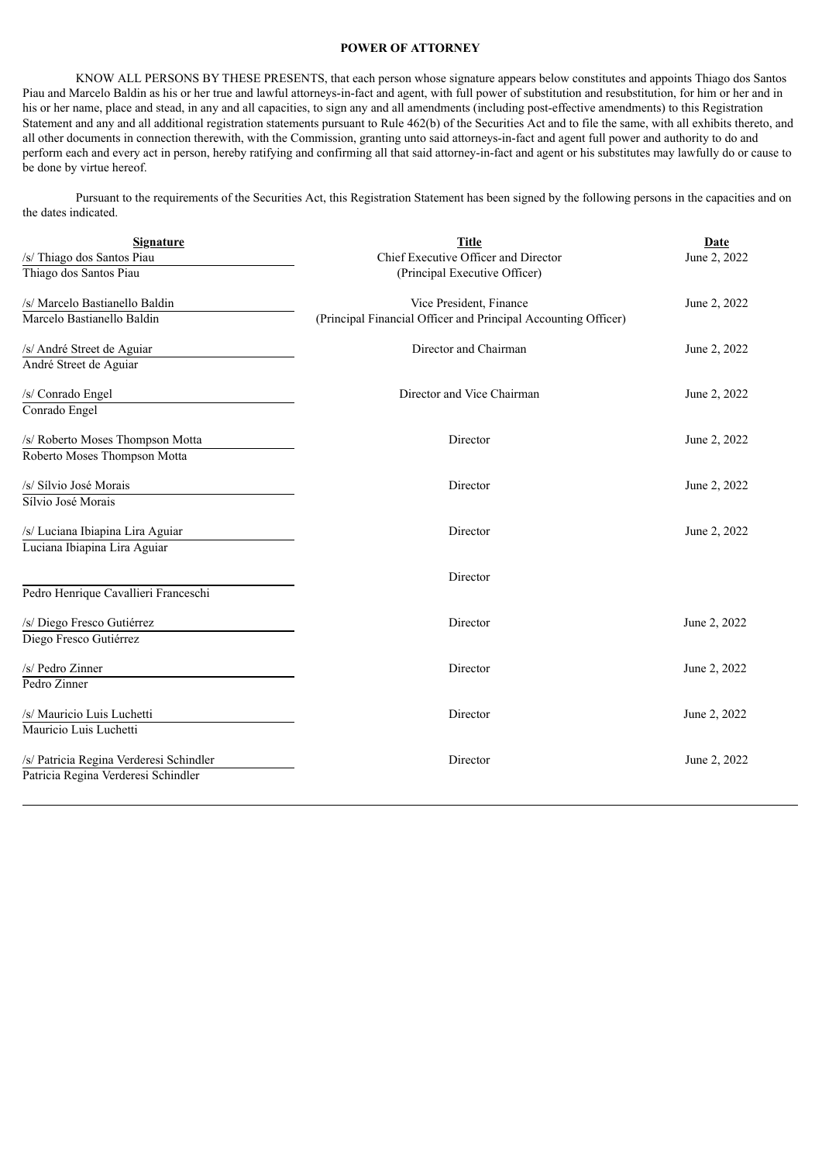# **POWER OF ATTORNEY**

<span id="page-3-0"></span>KNOW ALL PERSONS BY THESE PRESENTS, that each person whose signature appears below constitutes and appoints Thiago dos Santos Piau and Marcelo Baldin as his or her true and lawful attorneys-in-fact and agent, with full power of substitution and resubstitution, for him or her and in his or her name, place and stead, in any and all capacities, to sign any and all amendments (including post-effective amendments) to this Registration Statement and any and all additional registration statements pursuant to Rule 462(b) of the Securities Act and to file the same, with all exhibits thereto, and all other documents in connection therewith, with the Commission, granting unto said attorneys-in-fact and agent full power and authority to do and perform each and every act in person, hereby ratifying and confirming all that said attorney-in-fact and agent or his substitutes may lawfully do or cause to be done by virtue hereof.

Pursuant to the requirements of the Securities Act, this Registration Statement has been signed by the following persons in the capacities and on the dates indicated.

| <b>Signature</b>                        | <b>Title</b>                                                   | <b>Date</b>  |  |
|-----------------------------------------|----------------------------------------------------------------|--------------|--|
| /s/ Thiago dos Santos Piau              | Chief Executive Officer and Director                           | June 2, 2022 |  |
| Thiago dos Santos Piau                  | (Principal Executive Officer)                                  |              |  |
| /s/ Marcelo Bastianello Baldin          | Vice President, Finance                                        | June 2, 2022 |  |
| Marcelo Bastianello Baldin              | (Principal Financial Officer and Principal Accounting Officer) |              |  |
| /s/ André Street de Aguiar              | Director and Chairman                                          | June 2, 2022 |  |
| André Street de Aguiar                  |                                                                |              |  |
| /s/ Conrado Engel                       | Director and Vice Chairman                                     | June 2, 2022 |  |
| Conrado Engel                           |                                                                |              |  |
| /s/ Roberto Moses Thompson Motta        | Director                                                       | June 2, 2022 |  |
| Roberto Moses Thompson Motta            |                                                                |              |  |
| /s/ Sílvio José Morais                  | Director                                                       | June 2, 2022 |  |
| Sílvio José Morais                      |                                                                |              |  |
| /s/ Luciana Ibiapina Lira Aguiar        | Director                                                       | June 2, 2022 |  |
| Luciana Ibiapina Lira Aguiar            |                                                                |              |  |
|                                         | Director                                                       |              |  |
| Pedro Henrique Cavallieri Franceschi    |                                                                |              |  |
| /s/ Diego Fresco Gutiérrez              | Director                                                       | June 2, 2022 |  |
| Diego Fresco Gutiérrez                  |                                                                |              |  |
| /s/ Pedro Zinner                        | Director                                                       | June 2, 2022 |  |
| Pedro Zinner                            |                                                                |              |  |
| /s/ Mauricio Luis Luchetti              | Director                                                       | June 2, 2022 |  |
| Mauricio Luis Luchetti                  |                                                                |              |  |
| /s/ Patricia Regina Verderesi Schindler | Director                                                       | June 2, 2022 |  |
| Patricia Regina Verderesi Schindler     |                                                                |              |  |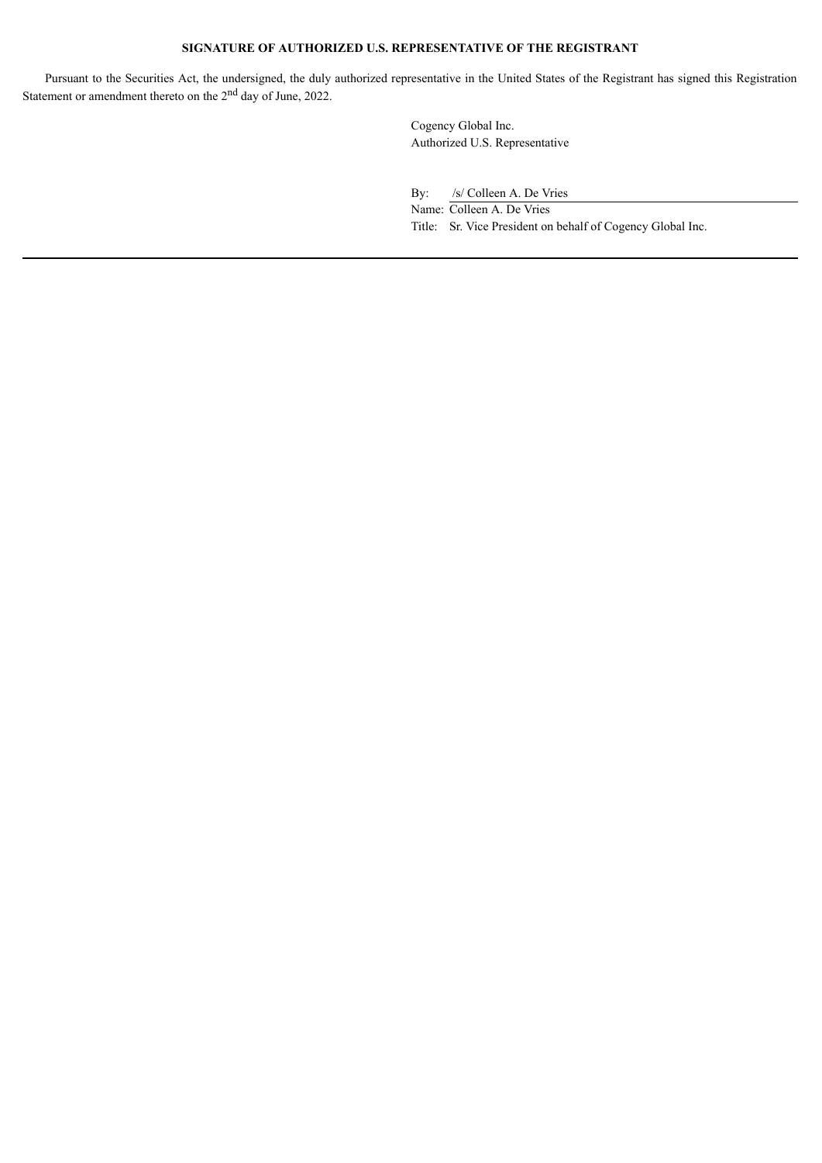# **SIGNATURE OF AUTHORIZED U.S. REPRESENTATIVE OF THE REGISTRANT**

Pursuant to the Securities Act, the undersigned, the duly authorized representative in the United States of the Registrant has signed this Registration Statement or amendment thereto on the  $2<sup>nd</sup>$  day of June, 2022.

> Cogency Global Inc. Authorized U.S. Representative

By: /s/ Colleen A. De Vries

Name: Colleen A. De Vries Title: Sr. Vice President on behalf of Cogency Global Inc.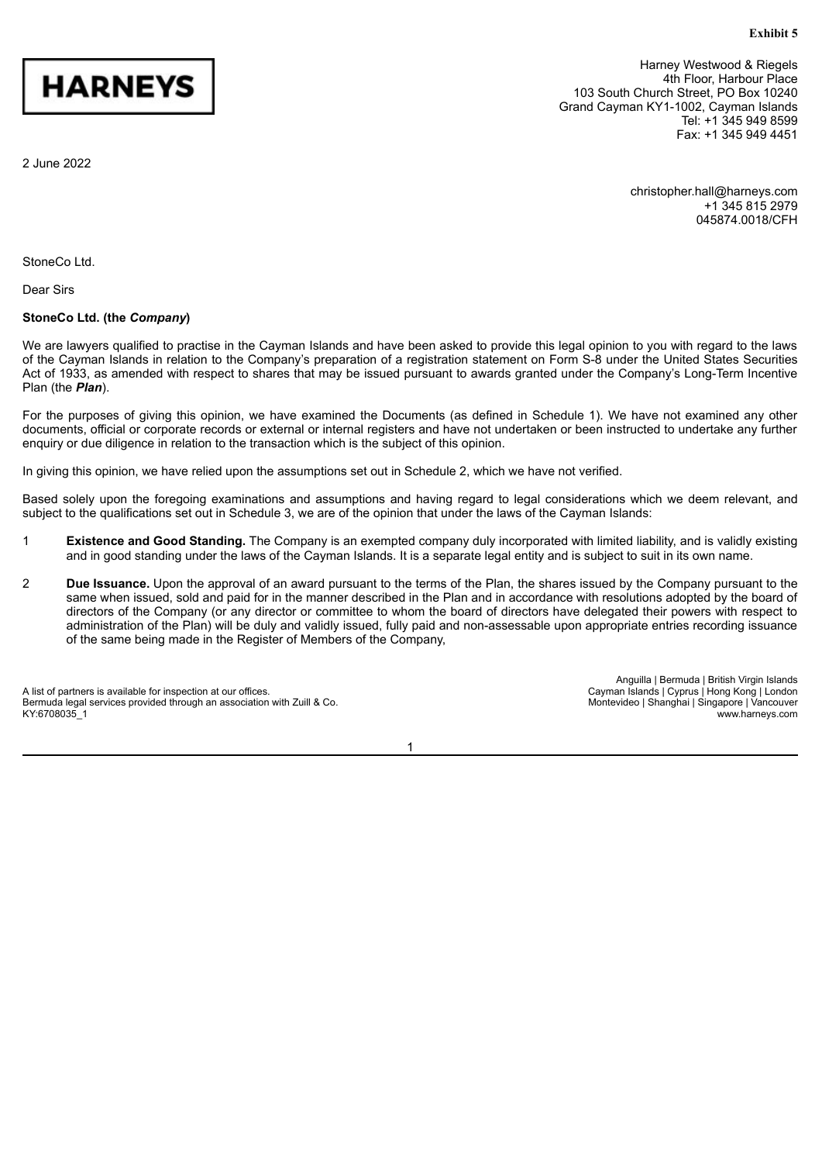### **Exhibit 5**

<span id="page-5-0"></span>

Harney Westwood & Riegels 4th Floor, Harbour Place 103 South Church Street, PO Box 10240 Grand Cayman KY1-1002, Cayman Islands Tel: +1 345 949 8599 Fax: +1 345 949 4451

2 June 2022

christopher.hall@harneys.com +1 345 815 2979 045874.0018/CFH

StoneCo Ltd.

Dear Sirs

## **StoneCo Ltd. (the** *Company***)**

We are lawyers qualified to practise in the Cayman Islands and have been asked to provide this legal opinion to you with regard to the laws of the Cayman Islands in relation to the Company's preparation of a registration statement on Form S-8 under the United States Securities Act of 1933, as amended with respect to shares that may be issued pursuant to awards granted under the Company's Long-Term Incentive Plan (the *Plan*).

For the purposes of giving this opinion, we have examined the Documents (as defined in Schedule 1). We have not examined any other documents, official or corporate records or external or internal registers and have not undertaken or been instructed to undertake any further enquiry or due diligence in relation to the transaction which is the subject of this opinion.

In giving this opinion, we have relied upon the assumptions set out in Schedule 2, which we have not verified.

Based solely upon the foregoing examinations and assumptions and having regard to legal considerations which we deem relevant, and subject to the qualifications set out in Schedule 3, we are of the opinion that under the laws of the Cayman Islands:

- 1 **Existence and Good Standing.** The Company is an exempted company duly incorporated with limited liability, and is validly existing and in good standing under the laws of the Cayman Islands. It is a separate legal entity and is subject to suit in its own name.
- 2 **Due Issuance.** Upon the approval of an award pursuant to the terms of the Plan, the shares issued by the Company pursuant to the same when issued, sold and paid for in the manner described in the Plan and in accordance with resolutions adopted by the board of directors of the Company (or any director or committee to whom the board of directors have delegated their powers with respect to administration of the Plan) will be duly and validly issued, fully paid and non-assessable upon appropriate entries recording issuance of the same being made in the Register of Members of the Company,

A list of partners is available for inspection at our offices. Bermuda legal services provided through an association with Zuill & Co. KY:6708035\_1

Anguilla | Bermuda | British Virgin Islands Cayman Islands | Cyprus | Hong Kong | London Montevideo | Shanghai | Singapore | Vancouver www.harneys.com

1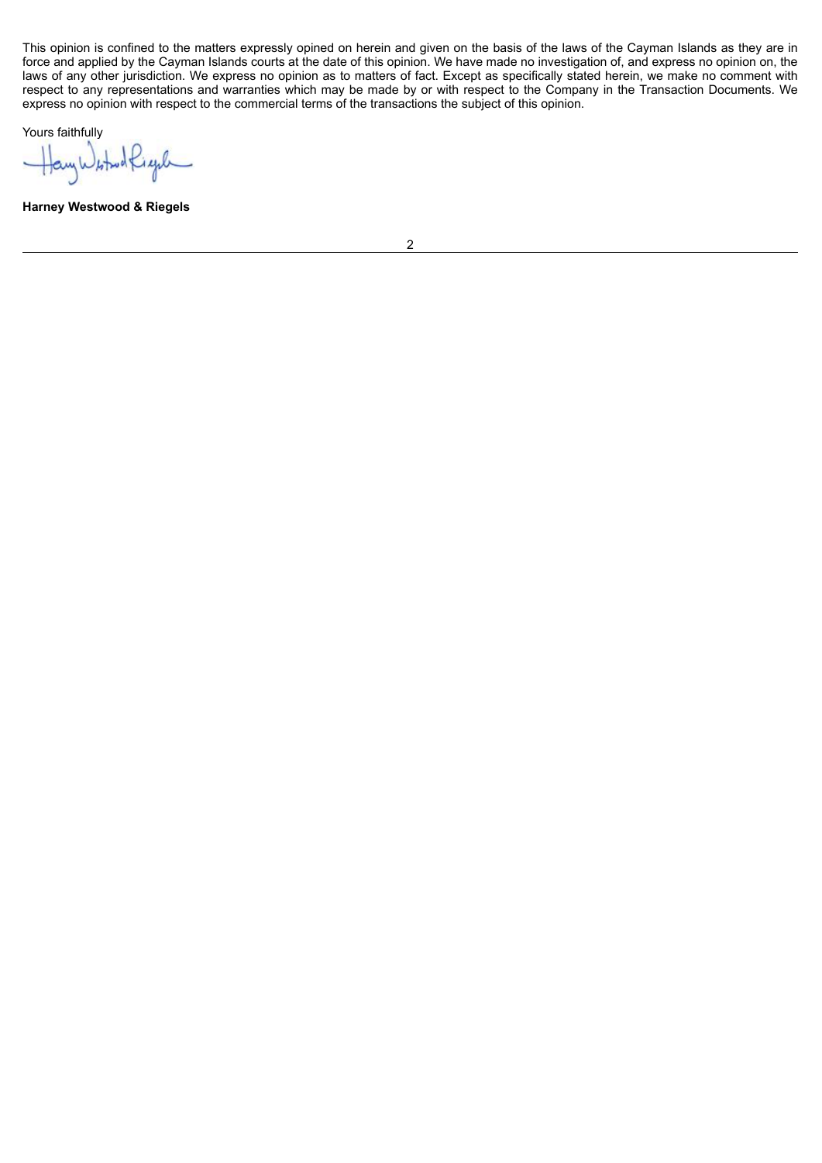This opinion is confined to the matters expressly opined on herein and given on the basis of the laws of the Cayman Islands as they are in force and applied by the Cayman Islands courts at the date of this opinion. We have made no investigation of, and express no opinion on, the laws of any other jurisdiction. We express no opinion as to matters of fact. Except as specifically stated herein, we make no comment with respect to any representations and warranties which may be made by or with respect to the Company in the Transaction Documents. We express no opinion with respect to the commercial terms of the transactions the subject of this opinion.

Yours faithfully

HayWitholfight

**Harney Westwood & Riegels**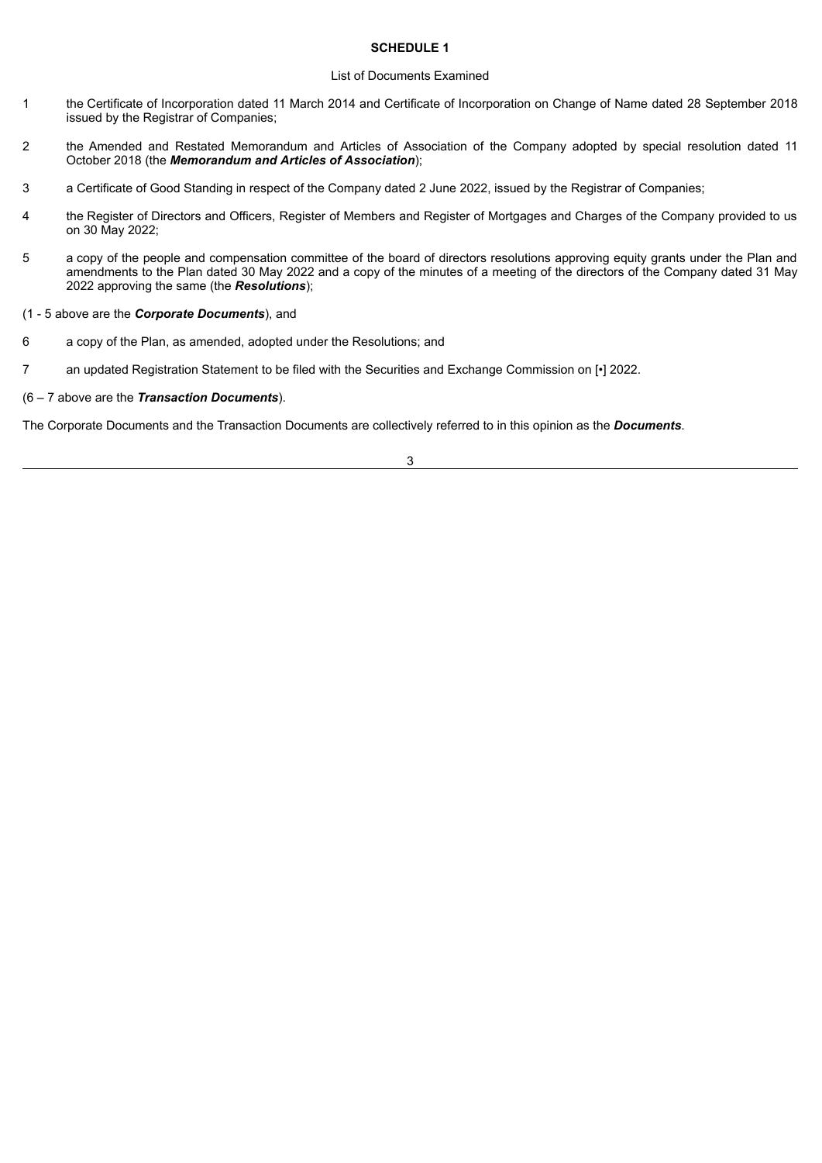# **SCHEDULE 1**

#### List of Documents Examined

- 1 the Certificate of Incorporation dated 11 March 2014 and Certificate of Incorporation on Change of Name dated 28 September 2018 issued by the Registrar of Companies;
- 2 the Amended and Restated Memorandum and Articles of Association of the Company adopted by special resolution dated 11 October 2018 (the *Memorandum and Articles of Association*);
- 3 a Certificate of Good Standing in respect of the Company dated 2 June 2022, issued by the Registrar of Companies;
- 4 the Register of Directors and Officers, Register of Members and Register of Mortgages and Charges of the Company provided to us on 30 May 2022;
- 5 a copy of the people and compensation committee of the board of directors resolutions approving equity grants under the Plan and amendments to the Plan dated 30 May 2022 and a copy of the minutes of a meeting of the directors of the Company dated 31 May 2022 approving the same (the *Resolutions*);
- (1 5 above are the *Corporate Documents*), and
- 6 a copy of the Plan, as amended, adopted under the Resolutions; and
- 7 an updated Registration Statement to be filed with the Securities and Exchange Commission on [•] 2022.
- (6 7 above are the *Transaction Documents*).

The Corporate Documents and the Transaction Documents are collectively referred to in this opinion as the *Documents*.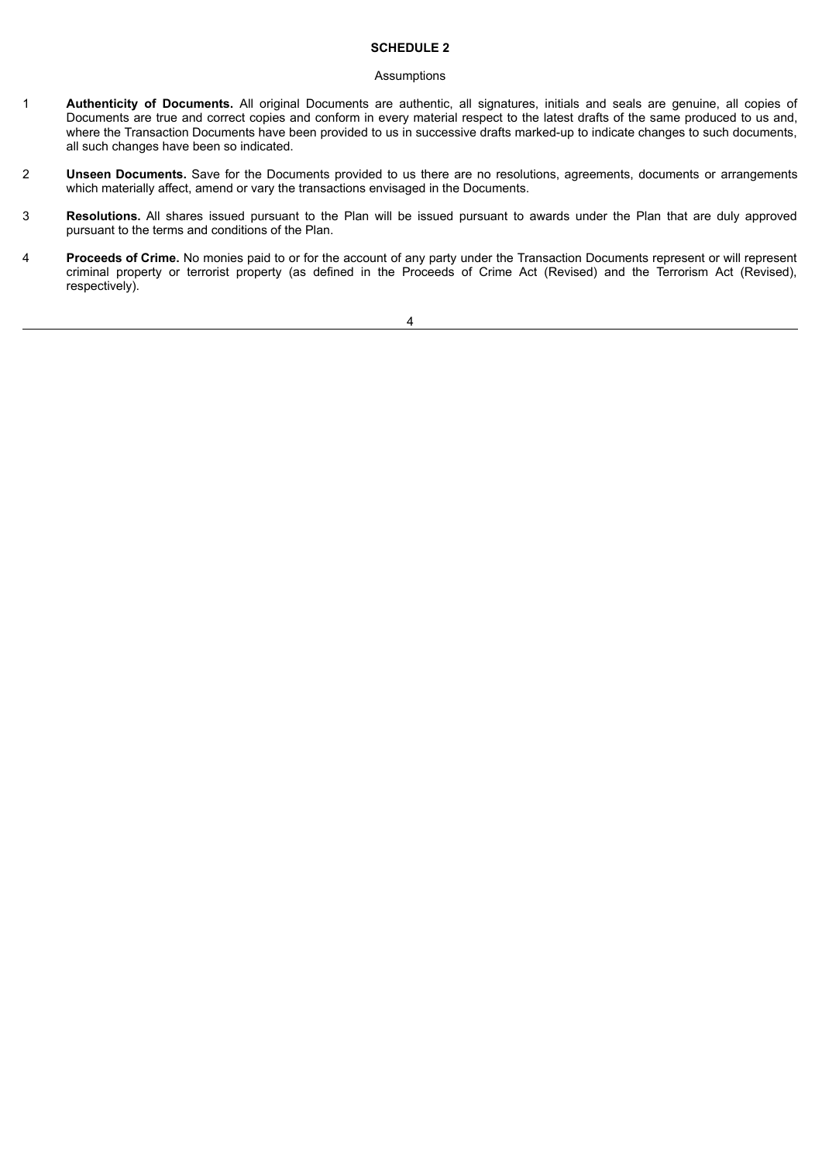# **SCHEDULE 2**

#### Assumptions

- 1 **Authenticity of Documents.** All original Documents are authentic, all signatures, initials and seals are genuine, all copies of Documents are true and correct copies and conform in every material respect to the latest drafts of the same produced to us and, where the Transaction Documents have been provided to us in successive drafts marked-up to indicate changes to such documents, all such changes have been so indicated.
- 2 **Unseen Documents.** Save for the Documents provided to us there are no resolutions, agreements, documents or arrangements which materially affect, amend or vary the transactions envisaged in the Documents.
- 3 **Resolutions.** All shares issued pursuant to the Plan will be issued pursuant to awards under the Plan that are duly approved pursuant to the terms and conditions of the Plan.
- 4 **Proceeds of Crime.** No monies paid to or for the account of any party under the Transaction Documents represent or will represent criminal property or terrorist property (as defined in the Proceeds of Crime Act (Revised) and the Terrorism Act (Revised), respectively).

#### 4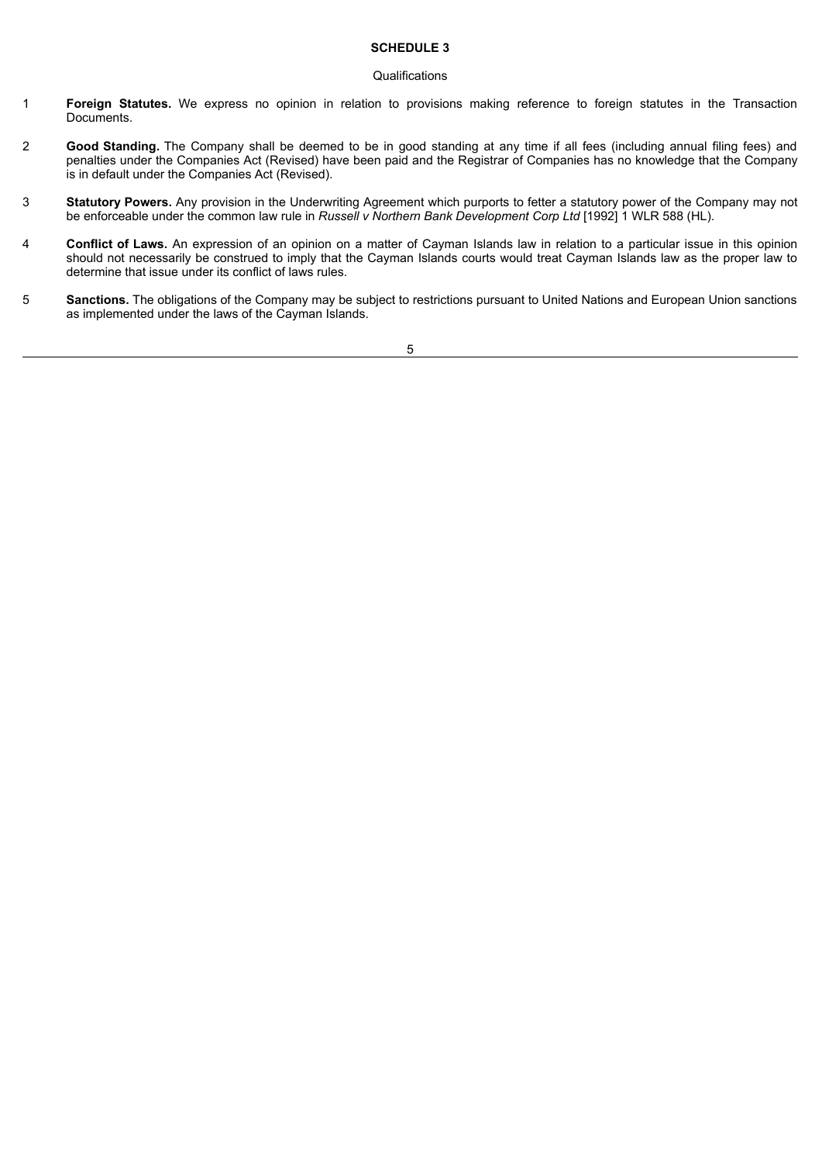# **SCHEDULE 3**

#### **Qualifications**

- 1 **Foreign Statutes.** We express no opinion in relation to provisions making reference to foreign statutes in the Transaction Documents.
- 2 **Good Standing.** The Company shall be deemed to be in good standing at any time if all fees (including annual filing fees) and penalties under the Companies Act (Revised) have been paid and the Registrar of Companies has no knowledge that the Company is in default under the Companies Act (Revised).
- 3 **Statutory Powers.** Any provision in the Underwriting Agreement which purports to fetter a statutory power of the Company may not be enforceable under the common law rule in *Russell v Northern Bank Development Corp Ltd* [1992] 1 WLR 588 (HL).
- 4 **Conflict of Laws.** An expression of an opinion on a matter of Cayman Islands law in relation to a particular issue in this opinion should not necessarily be construed to imply that the Cayman Islands courts would treat Cayman Islands law as the proper law to determine that issue under its conflict of laws rules.
- 5 **Sanctions.** The obligations of the Company may be subject to restrictions pursuant to United Nations and European Union sanctions as implemented under the laws of the Cayman Islands.

5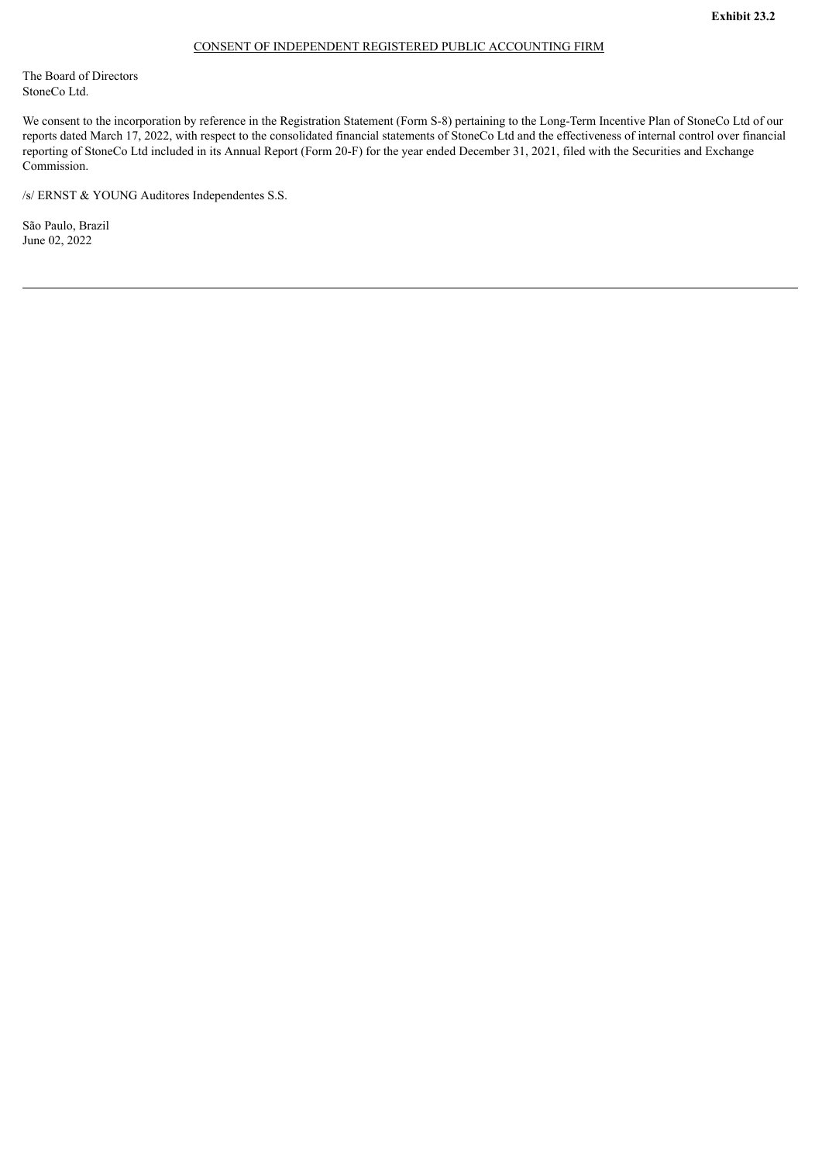#### CONSENT OF INDEPENDENT REGISTERED PUBLIC ACCOUNTING FIRM

<span id="page-10-0"></span>The Board of Directors StoneCo Ltd.

We consent to the incorporation by reference in the Registration Statement (Form S-8) pertaining to the Long-Term Incentive Plan of StoneCo Ltd of our reports dated March 17, 2022, with respect to the consolidated financial statements of StoneCo Ltd and the effectiveness of internal control over financial reporting of StoneCo Ltd included in its Annual Report (Form 20-F) for the year ended December 31, 2021, filed with the Securities and Exchange Commission.

/s/ ERNST & YOUNG Auditores Independentes S.S.

São Paulo, Brazil June 02, 2022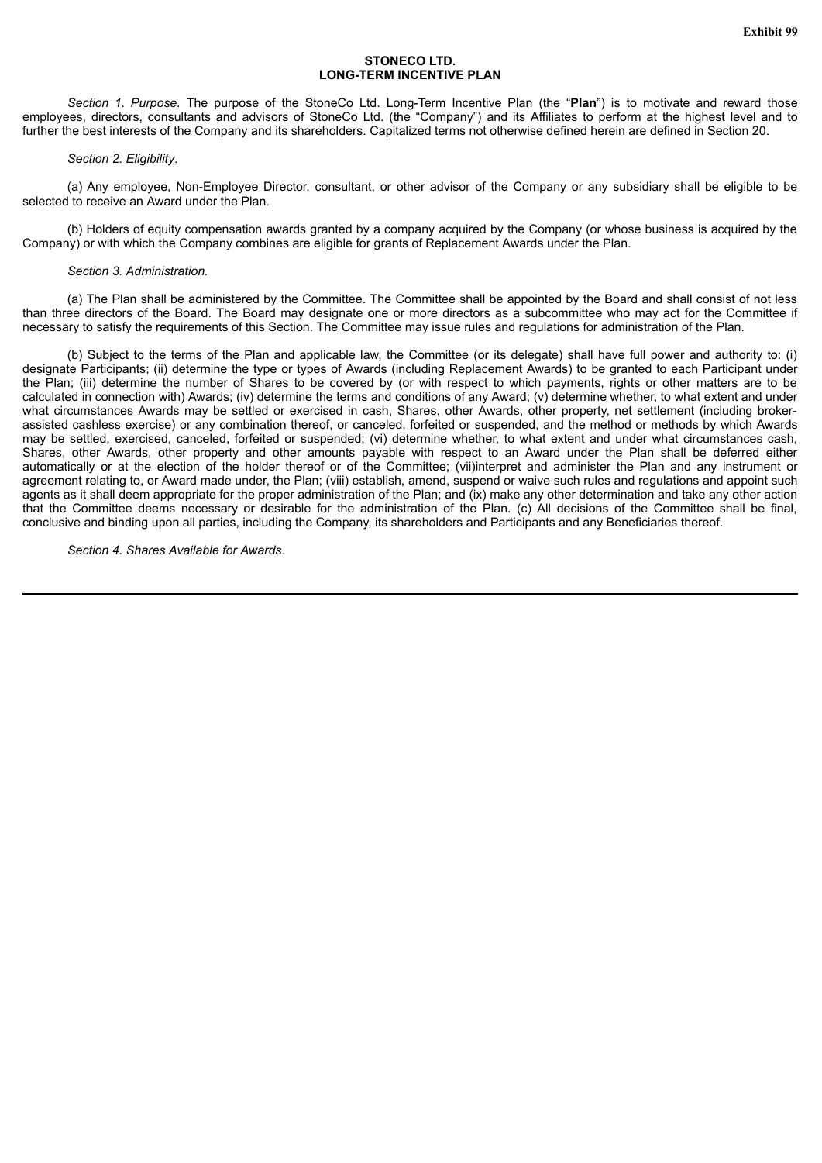## **STONECO LTD. LONG-TERM INCENTIVE PLAN**

<span id="page-11-0"></span>*Section 1. Purpose.* The purpose of the StoneCo Ltd. Long-Term Incentive Plan (the "**Plan**") is to motivate and reward those employees, directors, consultants and advisors of StoneCo Ltd. (the "Company") and its Affiliates to perform at the highest level and to further the best interests of the Company and its shareholders. Capitalized terms not otherwise defined herein are defined in Section 20.

#### *Section 2. Eligibility*.

(a) Any employee, Non-Employee Director, consultant, or other advisor of the Company or any subsidiary shall be eligible to be selected to receive an Award under the Plan.

(b) Holders of equity compensation awards granted by a company acquired by the Company (or whose business is acquired by the Company) or with which the Company combines are eligible for grants of Replacement Awards under the Plan.

#### *Section 3. Administration.*

(a) The Plan shall be administered by the Committee. The Committee shall be appointed by the Board and shall consist of not less than three directors of the Board. The Board may designate one or more directors as a subcommittee who may act for the Committee if necessary to satisfy the requirements of this Section. The Committee may issue rules and regulations for administration of the Plan.

(b) Subject to the terms of the Plan and applicable law, the Committee (or its delegate) shall have full power and authority to: (i) designate Participants; (ii) determine the type or types of Awards (including Replacement Awards) to be granted to each Participant under the Plan; (iii) determine the number of Shares to be covered by (or with respect to which payments, rights or other matters are to be calculated in connection with) Awards; (iv) determine the terms and conditions of any Award; (v) determine whether, to what extent and under what circumstances Awards may be settled or exercised in cash, Shares, other Awards, other property, net settlement (including brokerassisted cashless exercise) or any combination thereof, or canceled, forfeited or suspended, and the method or methods by which Awards may be settled, exercised, canceled, forfeited or suspended; (vi) determine whether, to what extent and under what circumstances cash, Shares, other Awards, other property and other amounts payable with respect to an Award under the Plan shall be deferred either automatically or at the election of the holder thereof or of the Committee; (vii)interpret and administer the Plan and any instrument or agreement relating to, or Award made under, the Plan; (viii) establish, amend, suspend or waive such rules and regulations and appoint such agents as it shall deem appropriate for the proper administration of the Plan; and (ix) make any other determination and take any other action that the Committee deems necessary or desirable for the administration of the Plan. (c) All decisions of the Committee shall be final, conclusive and binding upon all parties, including the Company, its shareholders and Participants and any Beneficiaries thereof.

*Section 4. Shares Available for Awards*.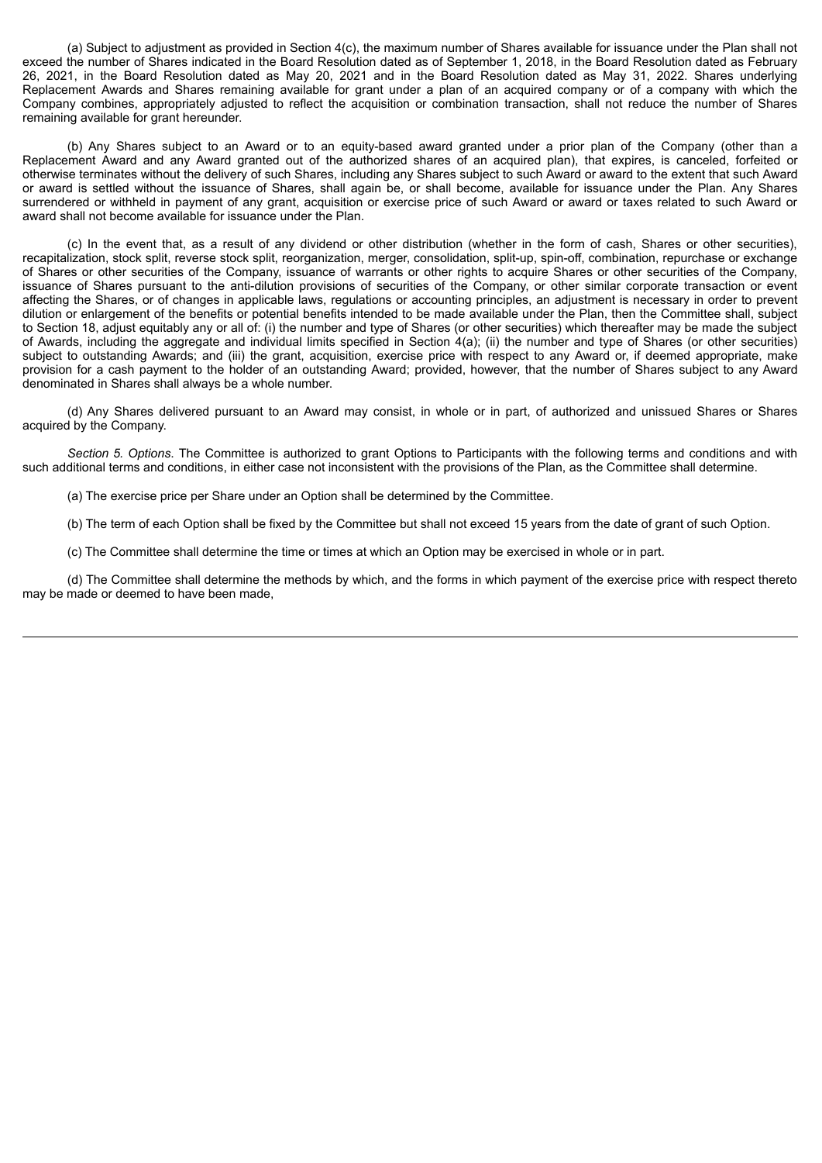(a) Subject to adjustment as provided in Section 4(c), the maximum number of Shares available for issuance under the Plan shall not exceed the number of Shares indicated in the Board Resolution dated as of September 1, 2018, in the Board Resolution dated as February 26, 2021, in the Board Resolution dated as May 20, 2021 and in the Board Resolution dated as May 31, 2022. Shares underlying Replacement Awards and Shares remaining available for grant under a plan of an acquired company or of a company with which the Company combines, appropriately adjusted to reflect the acquisition or combination transaction, shall not reduce the number of Shares remaining available for grant hereunder.

(b) Any Shares subject to an Award or to an equity-based award granted under a prior plan of the Company (other than a Replacement Award and any Award granted out of the authorized shares of an acquired plan), that expires, is canceled, forfeited or otherwise terminates without the delivery of such Shares, including any Shares subject to such Award or award to the extent that such Award or award is settled without the issuance of Shares, shall again be, or shall become, available for issuance under the Plan. Any Shares surrendered or withheld in payment of any grant, acquisition or exercise price of such Award or award or taxes related to such Award or award shall not become available for issuance under the Plan.

(c) In the event that, as a result of any dividend or other distribution (whether in the form of cash, Shares or other securities), recapitalization, stock split, reverse stock split, reorganization, merger, consolidation, split-up, spin-off, combination, repurchase or exchange of Shares or other securities of the Company, issuance of warrants or other rights to acquire Shares or other securities of the Company, issuance of Shares pursuant to the anti-dilution provisions of securities of the Company, or other similar corporate transaction or event affecting the Shares, or of changes in applicable laws, regulations or accounting principles, an adjustment is necessary in order to prevent dilution or enlargement of the benefits or potential benefits intended to be made available under the Plan, then the Committee shall, subject to Section 18, adjust equitably any or all of: (i) the number and type of Shares (or other securities) which thereafter may be made the subject of Awards, including the aggregate and individual limits specified in Section 4(a); (ii) the number and type of Shares (or other securities) subject to outstanding Awards; and (iii) the grant, acquisition, exercise price with respect to any Award or, if deemed appropriate, make provision for a cash payment to the holder of an outstanding Award; provided, however, that the number of Shares subject to any Award denominated in Shares shall always be a whole number.

(d) Any Shares delivered pursuant to an Award may consist, in whole or in part, of authorized and unissued Shares or Shares acquired by the Company.

*Section 5. Options*. The Committee is authorized to grant Options to Participants with the following terms and conditions and with such additional terms and conditions, in either case not inconsistent with the provisions of the Plan, as the Committee shall determine.

(a) The exercise price per Share under an Option shall be determined by the Committee.

(b) The term of each Option shall be fixed by the Committee but shall not exceed 15 years from the date of grant of such Option.

(c) The Committee shall determine the time or times at which an Option may be exercised in whole or in part.

(d) The Committee shall determine the methods by which, and the forms in which payment of the exercise price with respect thereto may be made or deemed to have been made,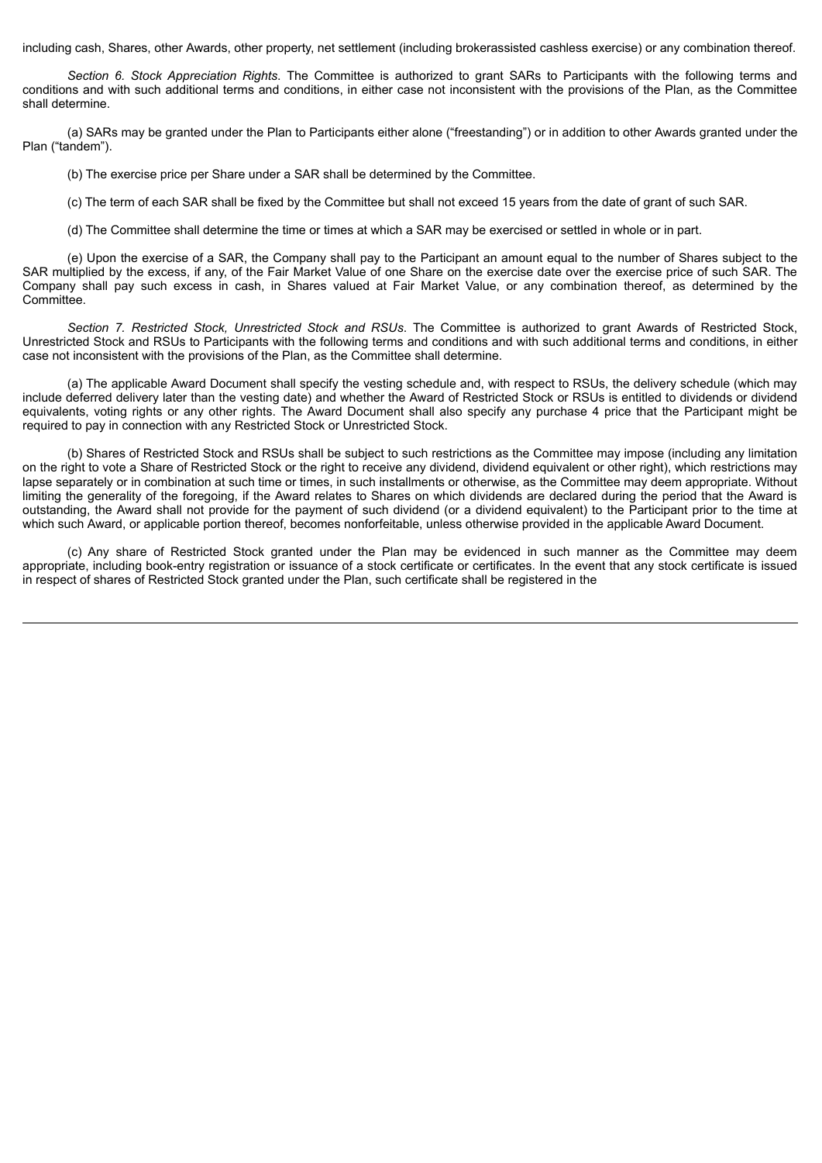including cash, Shares, other Awards, other property, net settlement (including brokerassisted cashless exercise) or any combination thereof.

*Section 6. Stock Appreciation Rights*. The Committee is authorized to grant SARs to Participants with the following terms and conditions and with such additional terms and conditions, in either case not inconsistent with the provisions of the Plan, as the Committee shall determine.

(a) SARs may be granted under the Plan to Participants either alone ("freestanding") or in addition to other Awards granted under the Plan ("tandem").

(b) The exercise price per Share under a SAR shall be determined by the Committee.

(c) The term of each SAR shall be fixed by the Committee but shall not exceed 15 years from the date of grant of such SAR.

(d) The Committee shall determine the time or times at which a SAR may be exercised or settled in whole or in part.

(e) Upon the exercise of a SAR, the Company shall pay to the Participant an amount equal to the number of Shares subject to the SAR multiplied by the excess, if any, of the Fair Market Value of one Share on the exercise date over the exercise price of such SAR. The Company shall pay such excess in cash, in Shares valued at Fair Market Value, or any combination thereof, as determined by the Committee.

*Section 7. Restricted Stock, Unrestricted Stock and RSUs*. The Committee is authorized to grant Awards of Restricted Stock, Unrestricted Stock and RSUs to Participants with the following terms and conditions and with such additional terms and conditions, in either case not inconsistent with the provisions of the Plan, as the Committee shall determine.

(a) The applicable Award Document shall specify the vesting schedule and, with respect to RSUs, the delivery schedule (which may include deferred delivery later than the vesting date) and whether the Award of Restricted Stock or RSUs is entitled to dividends or dividend equivalents, voting rights or any other rights. The Award Document shall also specify any purchase 4 price that the Participant might be required to pay in connection with any Restricted Stock or Unrestricted Stock.

(b) Shares of Restricted Stock and RSUs shall be subject to such restrictions as the Committee may impose (including any limitation on the right to vote a Share of Restricted Stock or the right to receive any dividend, dividend equivalent or other right), which restrictions may lapse separately or in combination at such time or times, in such installments or otherwise, as the Committee may deem appropriate. Without limiting the generality of the foregoing, if the Award relates to Shares on which dividends are declared during the period that the Award is outstanding, the Award shall not provide for the payment of such dividend (or a dividend equivalent) to the Participant prior to the time at which such Award, or applicable portion thereof, becomes nonforfeitable, unless otherwise provided in the applicable Award Document.

(c) Any share of Restricted Stock granted under the Plan may be evidenced in such manner as the Committee may deem appropriate, including book-entry registration or issuance of a stock certificate or certificates. In the event that any stock certificate is issued in respect of shares of Restricted Stock granted under the Plan, such certificate shall be registered in the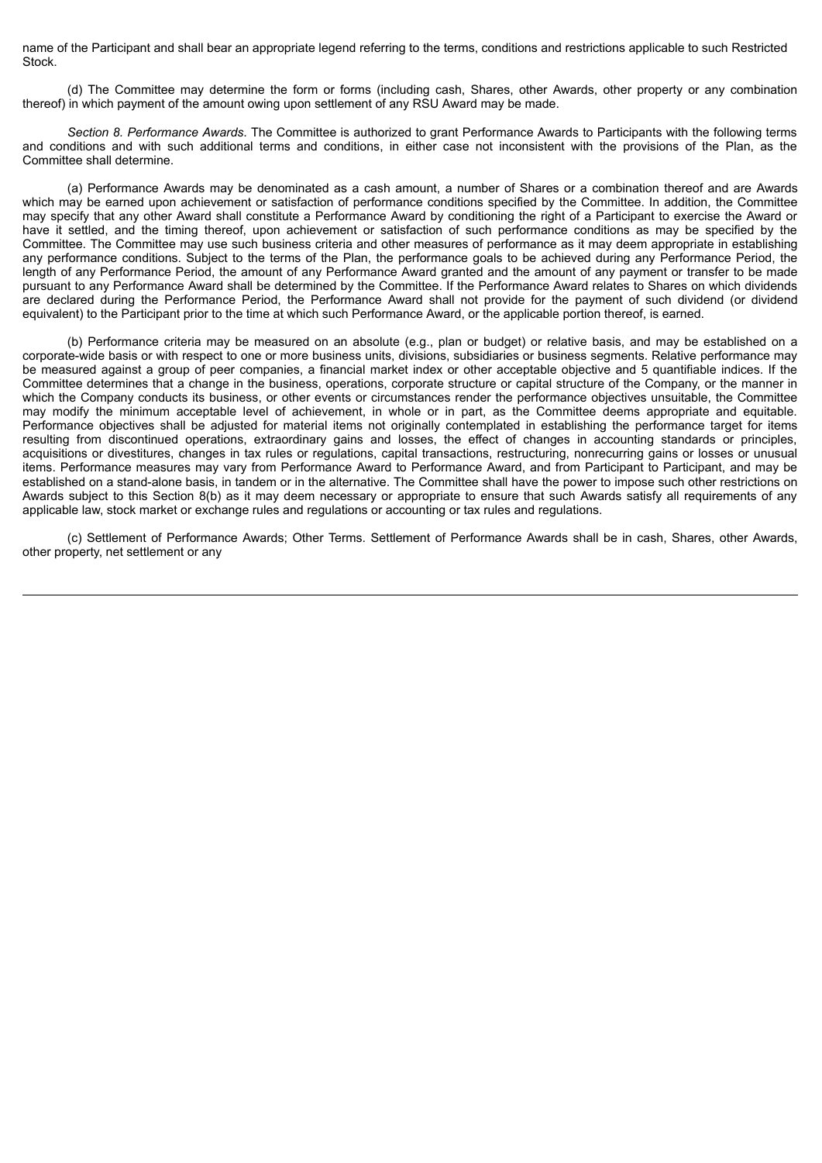name of the Participant and shall bear an appropriate legend referring to the terms, conditions and restrictions applicable to such Restricted Stock.

(d) The Committee may determine the form or forms (including cash, Shares, other Awards, other property or any combination thereof) in which payment of the amount owing upon settlement of any RSU Award may be made.

*Section 8. Performance Awards*. The Committee is authorized to grant Performance Awards to Participants with the following terms and conditions and with such additional terms and conditions, in either case not inconsistent with the provisions of the Plan, as the Committee shall determine.

(a) Performance Awards may be denominated as a cash amount, a number of Shares or a combination thereof and are Awards which may be earned upon achievement or satisfaction of performance conditions specified by the Committee. In addition, the Committee may specify that any other Award shall constitute a Performance Award by conditioning the right of a Participant to exercise the Award or have it settled, and the timing thereof, upon achievement or satisfaction of such performance conditions as may be specified by the Committee. The Committee may use such business criteria and other measures of performance as it may deem appropriate in establishing any performance conditions. Subject to the terms of the Plan, the performance goals to be achieved during any Performance Period, the length of any Performance Period, the amount of any Performance Award granted and the amount of any payment or transfer to be made pursuant to any Performance Award shall be determined by the Committee. If the Performance Award relates to Shares on which dividends are declared during the Performance Period, the Performance Award shall not provide for the payment of such dividend (or dividend equivalent) to the Participant prior to the time at which such Performance Award, or the applicable portion thereof, is earned.

(b) Performance criteria may be measured on an absolute (e.g., plan or budget) or relative basis, and may be established on a corporate-wide basis or with respect to one or more business units, divisions, subsidiaries or business segments. Relative performance may be measured against a group of peer companies, a financial market index or other acceptable objective and 5 quantifiable indices. If the Committee determines that a change in the business, operations, corporate structure or capital structure of the Company, or the manner in which the Company conducts its business, or other events or circumstances render the performance objectives unsuitable, the Committee may modify the minimum acceptable level of achievement, in whole or in part, as the Committee deems appropriate and equitable. Performance objectives shall be adjusted for material items not originally contemplated in establishing the performance target for items resulting from discontinued operations, extraordinary gains and losses, the effect of changes in accounting standards or principles, acquisitions or divestitures, changes in tax rules or regulations, capital transactions, restructuring, nonrecurring gains or losses or unusual items. Performance measures may vary from Performance Award to Performance Award, and from Participant to Participant, and may be established on a stand-alone basis, in tandem or in the alternative. The Committee shall have the power to impose such other restrictions on Awards subject to this Section 8(b) as it may deem necessary or appropriate to ensure that such Awards satisfy all requirements of any applicable law, stock market or exchange rules and regulations or accounting or tax rules and regulations.

(c) Settlement of Performance Awards; Other Terms. Settlement of Performance Awards shall be in cash, Shares, other Awards, other property, net settlement or any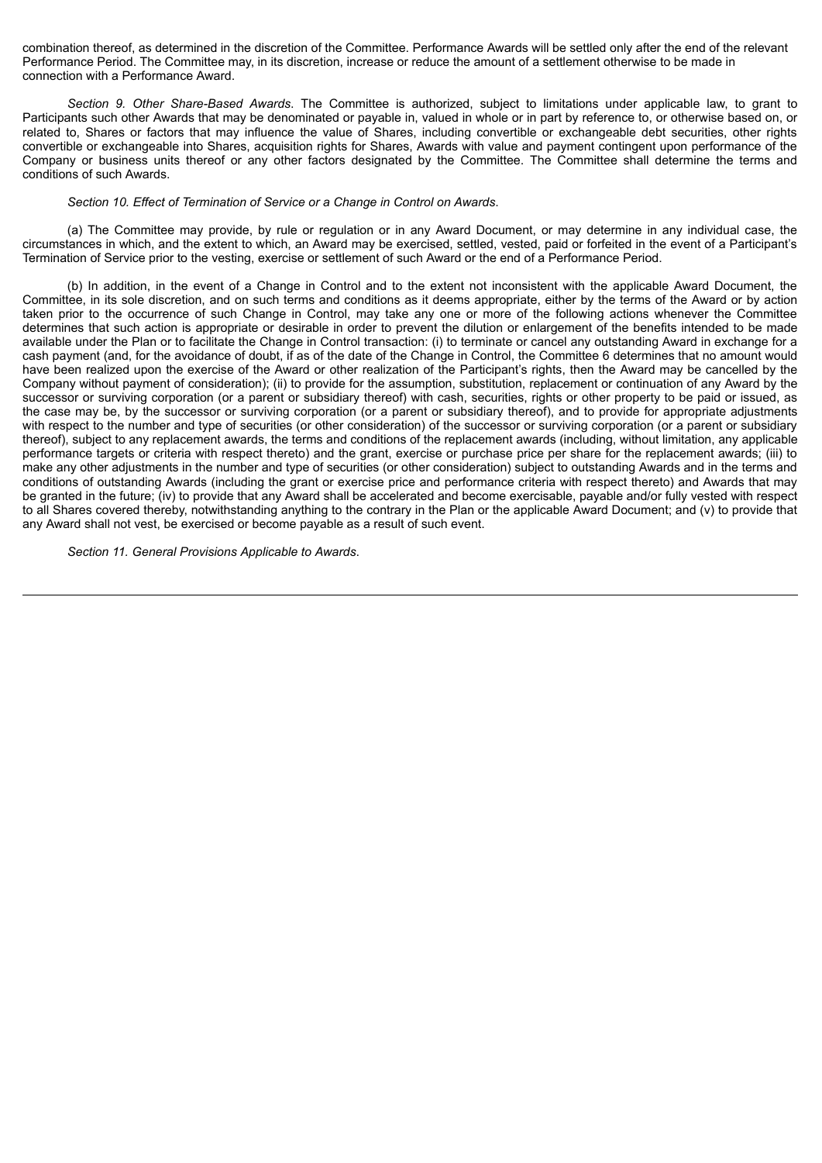combination thereof, as determined in the discretion of the Committee. Performance Awards will be settled only after the end of the relevant Performance Period. The Committee may, in its discretion, increase or reduce the amount of a settlement otherwise to be made in connection with a Performance Award.

*Section 9. Other Share-Based Awards*. The Committee is authorized, subject to limitations under applicable law, to grant to Participants such other Awards that may be denominated or payable in, valued in whole or in part by reference to, or otherwise based on, or related to, Shares or factors that may influence the value of Shares, including convertible or exchangeable debt securities, other rights convertible or exchangeable into Shares, acquisition rights for Shares, Awards with value and payment contingent upon performance of the Company or business units thereof or any other factors designated by the Committee. The Committee shall determine the terms and conditions of such Awards.

#### *Section 10. Effect of Termination of Service or a Change in Control on Awards*.

(a) The Committee may provide, by rule or regulation or in any Award Document, or may determine in any individual case, the circumstances in which, and the extent to which, an Award may be exercised, settled, vested, paid or forfeited in the event of a Participant's Termination of Service prior to the vesting, exercise or settlement of such Award or the end of a Performance Period.

(b) In addition, in the event of a Change in Control and to the extent not inconsistent with the applicable Award Document, the Committee, in its sole discretion, and on such terms and conditions as it deems appropriate, either by the terms of the Award or by action taken prior to the occurrence of such Change in Control, may take any one or more of the following actions whenever the Committee determines that such action is appropriate or desirable in order to prevent the dilution or enlargement of the benefits intended to be made available under the Plan or to facilitate the Change in Control transaction: (i) to terminate or cancel any outstanding Award in exchange for a cash payment (and, for the avoidance of doubt, if as of the date of the Change in Control, the Committee 6 determines that no amount would have been realized upon the exercise of the Award or other realization of the Participant's rights, then the Award may be cancelled by the Company without payment of consideration); (ii) to provide for the assumption, substitution, replacement or continuation of any Award by the successor or surviving corporation (or a parent or subsidiary thereof) with cash, securities, rights or other property to be paid or issued, as the case may be, by the successor or surviving corporation (or a parent or subsidiary thereof), and to provide for appropriate adjustments with respect to the number and type of securities (or other consideration) of the successor or surviving corporation (or a parent or subsidiary thereof), subject to any replacement awards, the terms and conditions of the replacement awards (including, without limitation, any applicable performance targets or criteria with respect thereto) and the grant, exercise or purchase price per share for the replacement awards; (iii) to make any other adjustments in the number and type of securities (or other consideration) subject to outstanding Awards and in the terms and conditions of outstanding Awards (including the grant or exercise price and performance criteria with respect thereto) and Awards that may be granted in the future; (iv) to provide that any Award shall be accelerated and become exercisable, payable and/or fully vested with respect to all Shares covered thereby, notwithstanding anything to the contrary in the Plan or the applicable Award Document; and (v) to provide that any Award shall not vest, be exercised or become payable as a result of such event.

*Section 11. General Provisions Applicable to Awards*.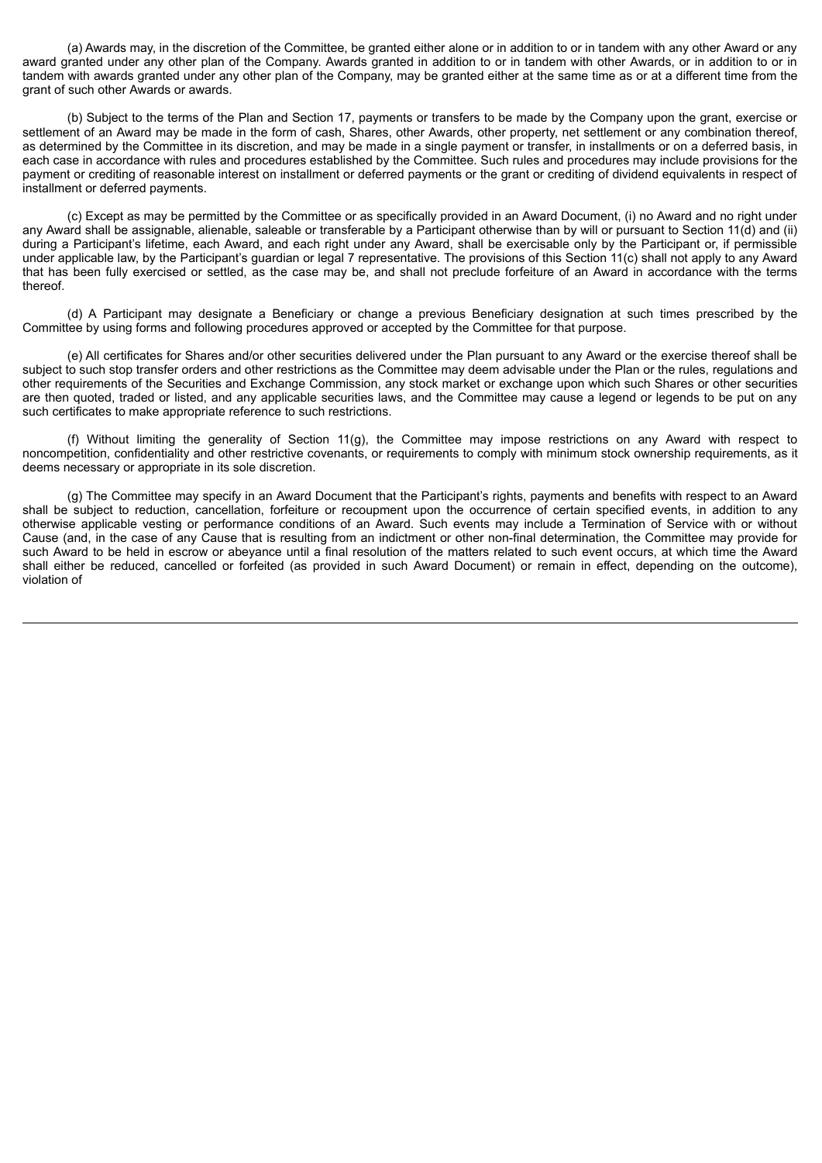(a) Awards may, in the discretion of the Committee, be granted either alone or in addition to or in tandem with any other Award or any award granted under any other plan of the Company. Awards granted in addition to or in tandem with other Awards, or in addition to or in tandem with awards granted under any other plan of the Company, may be granted either at the same time as or at a different time from the grant of such other Awards or awards.

(b) Subject to the terms of the Plan and Section 17, payments or transfers to be made by the Company upon the grant, exercise or settlement of an Award may be made in the form of cash, Shares, other Awards, other property, net settlement or any combination thereof, as determined by the Committee in its discretion, and may be made in a single payment or transfer, in installments or on a deferred basis, in each case in accordance with rules and procedures established by the Committee. Such rules and procedures may include provisions for the payment or crediting of reasonable interest on installment or deferred payments or the grant or crediting of dividend equivalents in respect of installment or deferred payments.

(c) Except as may be permitted by the Committee or as specifically provided in an Award Document, (i) no Award and no right under any Award shall be assignable, alienable, saleable or transferable by a Participant otherwise than by will or pursuant to Section 11(d) and (ii) during a Participant's lifetime, each Award, and each right under any Award, shall be exercisable only by the Participant or, if permissible under applicable law, by the Participant's guardian or legal 7 representative. The provisions of this Section 11(c) shall not apply to any Award that has been fully exercised or settled, as the case may be, and shall not preclude forfeiture of an Award in accordance with the terms thereof.

(d) A Participant may designate a Beneficiary or change a previous Beneficiary designation at such times prescribed by the Committee by using forms and following procedures approved or accepted by the Committee for that purpose.

(e) All certificates for Shares and/or other securities delivered under the Plan pursuant to any Award or the exercise thereof shall be subject to such stop transfer orders and other restrictions as the Committee may deem advisable under the Plan or the rules, regulations and other requirements of the Securities and Exchange Commission, any stock market or exchange upon which such Shares or other securities are then quoted, traded or listed, and any applicable securities laws, and the Committee may cause a legend or legends to be put on any such certificates to make appropriate reference to such restrictions.

(f) Without limiting the generality of Section 11(g), the Committee may impose restrictions on any Award with respect to noncompetition, confidentiality and other restrictive covenants, or requirements to comply with minimum stock ownership requirements, as it deems necessary or appropriate in its sole discretion.

(g) The Committee may specify in an Award Document that the Participant's rights, payments and benefits with respect to an Award shall be subject to reduction, cancellation, forfeiture or recoupment upon the occurrence of certain specified events, in addition to any otherwise applicable vesting or performance conditions of an Award. Such events may include a Termination of Service with or without Cause (and, in the case of any Cause that is resulting from an indictment or other non-final determination, the Committee may provide for such Award to be held in escrow or abeyance until a final resolution of the matters related to such event occurs, at which time the Award shall either be reduced, cancelled or forfeited (as provided in such Award Document) or remain in effect, depending on the outcome), violation of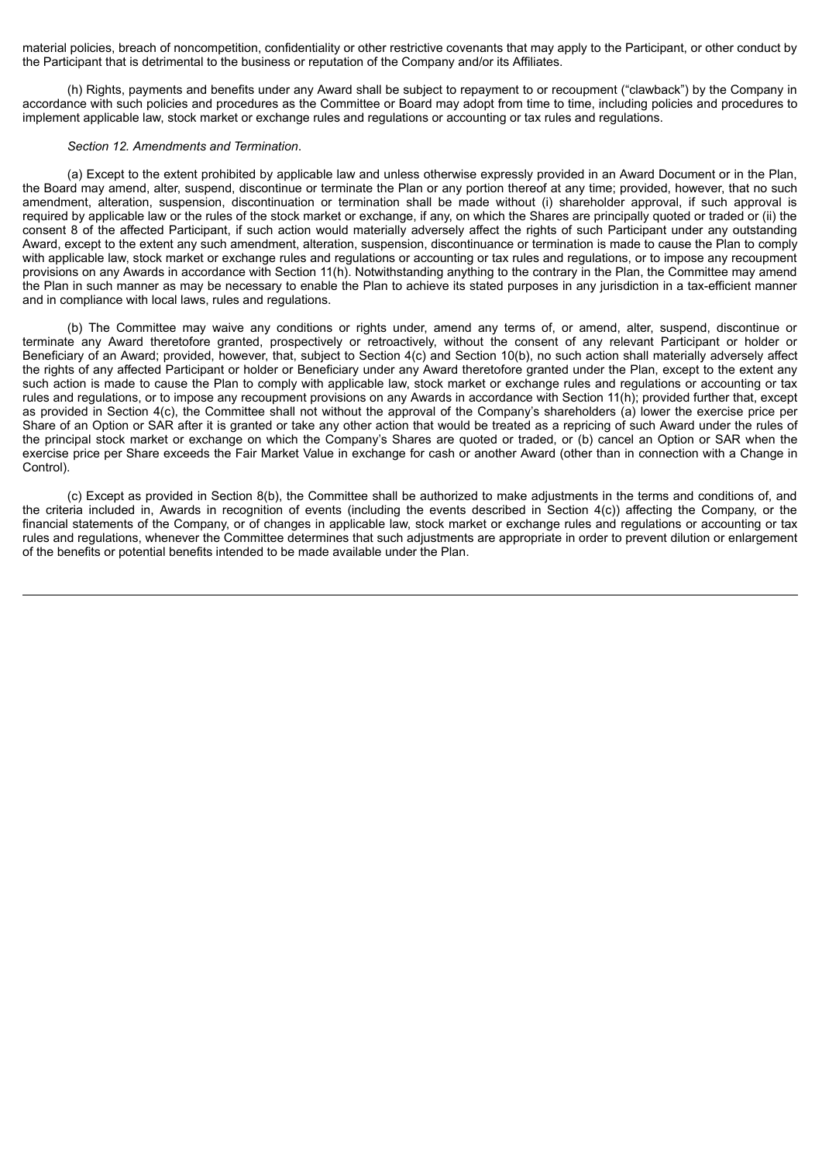material policies, breach of noncompetition, confidentiality or other restrictive covenants that may apply to the Participant, or other conduct by the Participant that is detrimental to the business or reputation of the Company and/or its Affiliates.

(h) Rights, payments and benefits under any Award shall be subject to repayment to or recoupment ("clawback") by the Company in accordance with such policies and procedures as the Committee or Board may adopt from time to time, including policies and procedures to implement applicable law, stock market or exchange rules and regulations or accounting or tax rules and regulations.

#### *Section 12. Amendments and Termination*.

(a) Except to the extent prohibited by applicable law and unless otherwise expressly provided in an Award Document or in the Plan, the Board may amend, alter, suspend, discontinue or terminate the Plan or any portion thereof at any time; provided, however, that no such amendment, alteration, suspension, discontinuation or termination shall be made without (i) shareholder approval, if such approval is required by applicable law or the rules of the stock market or exchange, if any, on which the Shares are principally quoted or traded or (ii) the consent 8 of the affected Participant, if such action would materially adversely affect the rights of such Participant under any outstanding Award, except to the extent any such amendment, alteration, suspension, discontinuance or termination is made to cause the Plan to comply with applicable law, stock market or exchange rules and regulations or accounting or tax rules and regulations, or to impose any recoupment provisions on any Awards in accordance with Section 11(h). Notwithstanding anything to the contrary in the Plan, the Committee may amend the Plan in such manner as may be necessary to enable the Plan to achieve its stated purposes in any jurisdiction in a tax-efficient manner and in compliance with local laws, rules and regulations.

(b) The Committee may waive any conditions or rights under, amend any terms of, or amend, alter, suspend, discontinue or terminate any Award theretofore granted, prospectively or retroactively, without the consent of any relevant Participant or holder or Beneficiary of an Award; provided, however, that, subject to Section 4(c) and Section 10(b), no such action shall materially adversely affect the rights of any affected Participant or holder or Beneficiary under any Award theretofore granted under the Plan, except to the extent any such action is made to cause the Plan to comply with applicable law, stock market or exchange rules and regulations or accounting or tax rules and regulations, or to impose any recoupment provisions on any Awards in accordance with Section 11(h); provided further that, except as provided in Section 4(c), the Committee shall not without the approval of the Company's shareholders (a) lower the exercise price per Share of an Option or SAR after it is granted or take any other action that would be treated as a repricing of such Award under the rules of the principal stock market or exchange on which the Company's Shares are quoted or traded, or (b) cancel an Option or SAR when the exercise price per Share exceeds the Fair Market Value in exchange for cash or another Award (other than in connection with a Change in Control).

(c) Except as provided in Section 8(b), the Committee shall be authorized to make adjustments in the terms and conditions of, and the criteria included in, Awards in recognition of events (including the events described in Section 4(c)) affecting the Company, or the financial statements of the Company, or of changes in applicable law, stock market or exchange rules and regulations or accounting or tax rules and regulations, whenever the Committee determines that such adjustments are appropriate in order to prevent dilution or enlargement of the benefits or potential benefits intended to be made available under the Plan.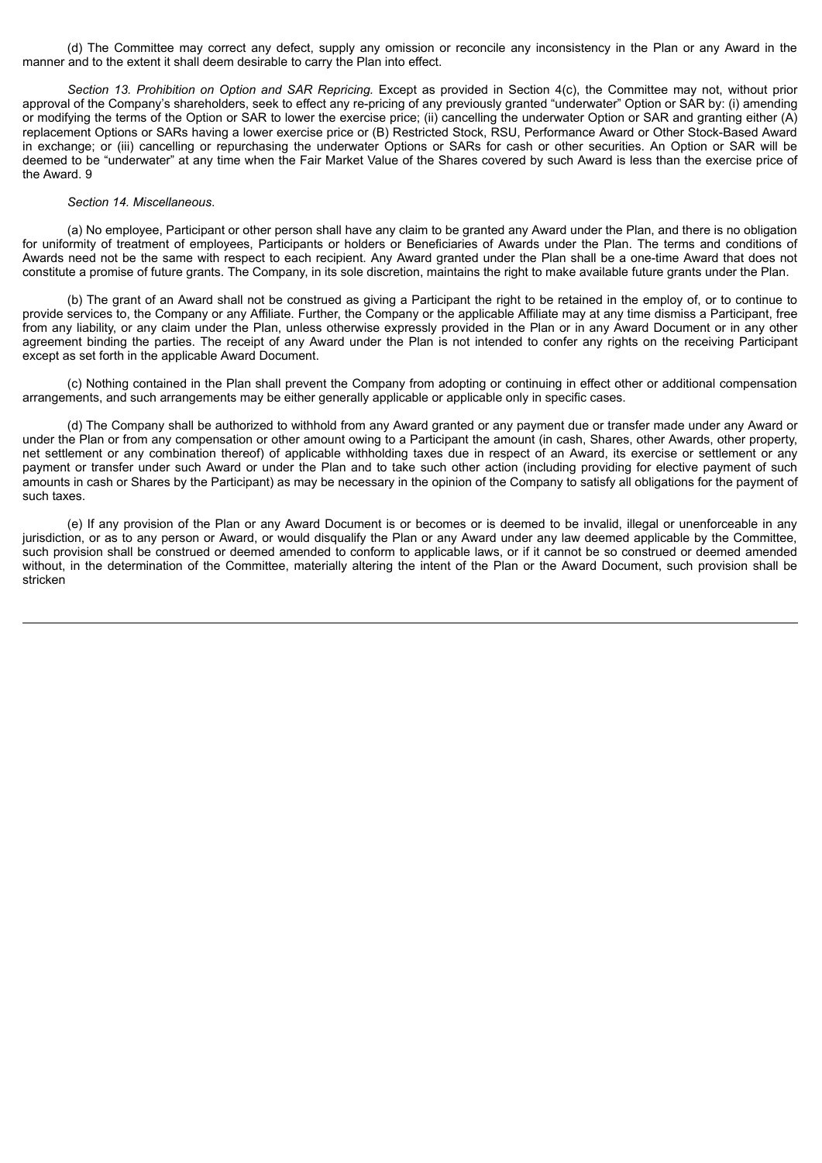(d) The Committee may correct any defect, supply any omission or reconcile any inconsistency in the Plan or any Award in the manner and to the extent it shall deem desirable to carry the Plan into effect.

*Section 13. Prohibition on Option and SAR Repricing.* Except as provided in Section 4(c), the Committee may not, without prior approval of the Company's shareholders, seek to effect any re-pricing of any previously granted "underwater" Option or SAR by: (i) amending or modifying the terms of the Option or SAR to lower the exercise price; (ii) cancelling the underwater Option or SAR and granting either (A) replacement Options or SARs having a lower exercise price or (B) Restricted Stock, RSU, Performance Award or Other Stock-Based Award in exchange; or (iii) cancelling or repurchasing the underwater Options or SARs for cash or other securities. An Option or SAR will be deemed to be "underwater" at any time when the Fair Market Value of the Shares covered by such Award is less than the exercise price of the Award. 9

#### *Section 14. Miscellaneous*.

(a) No employee, Participant or other person shall have any claim to be granted any Award under the Plan, and there is no obligation for uniformity of treatment of employees, Participants or holders or Beneficiaries of Awards under the Plan. The terms and conditions of Awards need not be the same with respect to each recipient. Any Award granted under the Plan shall be a one-time Award that does not constitute a promise of future grants. The Company, in its sole discretion, maintains the right to make available future grants under the Plan.

(b) The grant of an Award shall not be construed as giving a Participant the right to be retained in the employ of, or to continue to provide services to, the Company or any Affiliate. Further, the Company or the applicable Affiliate may at any time dismiss a Participant, free from any liability, or any claim under the Plan, unless otherwise expressly provided in the Plan or in any Award Document or in any other agreement binding the parties. The receipt of any Award under the Plan is not intended to confer any rights on the receiving Participant except as set forth in the applicable Award Document.

(c) Nothing contained in the Plan shall prevent the Company from adopting or continuing in effect other or additional compensation arrangements, and such arrangements may be either generally applicable or applicable only in specific cases.

(d) The Company shall be authorized to withhold from any Award granted or any payment due or transfer made under any Award or under the Plan or from any compensation or other amount owing to a Participant the amount (in cash, Shares, other Awards, other property, net settlement or any combination thereof) of applicable withholding taxes due in respect of an Award, its exercise or settlement or any payment or transfer under such Award or under the Plan and to take such other action (including providing for elective payment of such amounts in cash or Shares by the Participant) as may be necessary in the opinion of the Company to satisfy all obligations for the payment of such taxes.

(e) If any provision of the Plan or any Award Document is or becomes or is deemed to be invalid, illegal or unenforceable in any jurisdiction, or as to any person or Award, or would disqualify the Plan or any Award under any law deemed applicable by the Committee, such provision shall be construed or deemed amended to conform to applicable laws, or if it cannot be so construed or deemed amended without, in the determination of the Committee, materially altering the intent of the Plan or the Award Document, such provision shall be stricken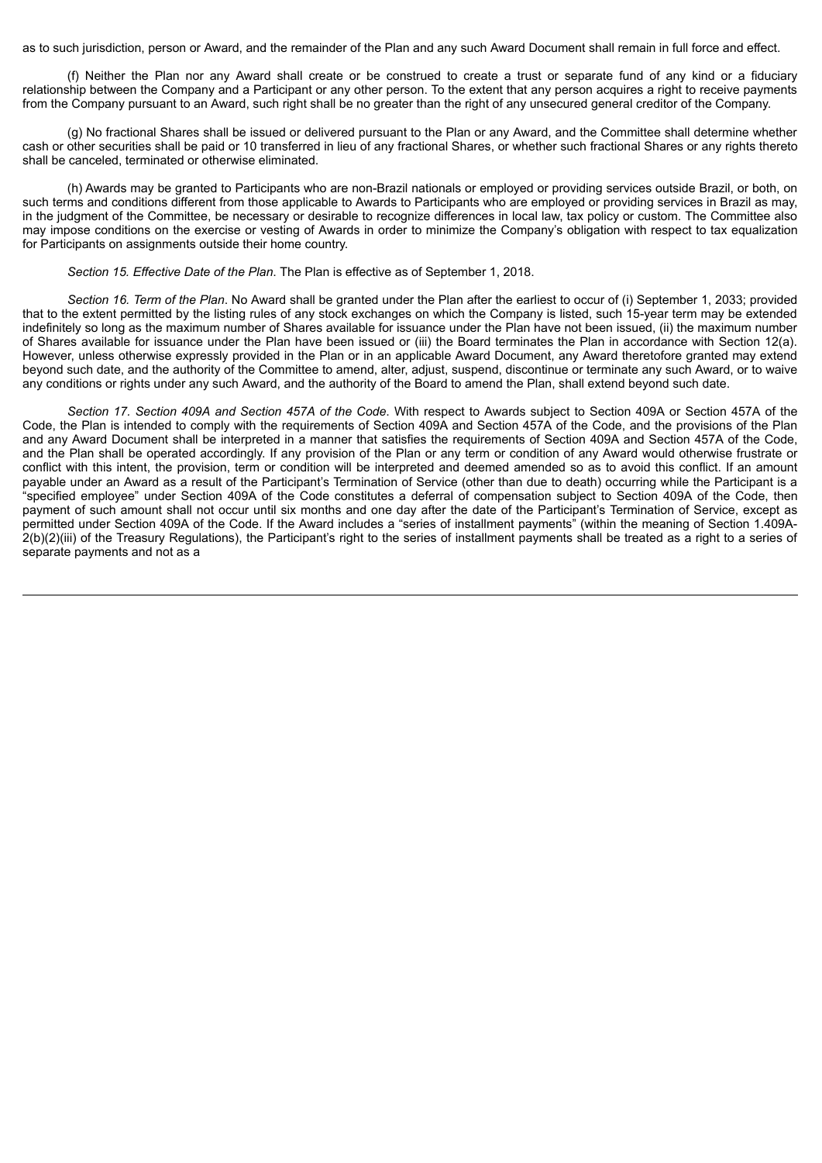as to such jurisdiction, person or Award, and the remainder of the Plan and any such Award Document shall remain in full force and effect.

(f) Neither the Plan nor any Award shall create or be construed to create a trust or separate fund of any kind or a fiduciary relationship between the Company and a Participant or any other person. To the extent that any person acquires a right to receive payments from the Company pursuant to an Award, such right shall be no greater than the right of any unsecured general creditor of the Company.

(g) No fractional Shares shall be issued or delivered pursuant to the Plan or any Award, and the Committee shall determine whether cash or other securities shall be paid or 10 transferred in lieu of any fractional Shares, or whether such fractional Shares or any rights thereto shall be canceled, terminated or otherwise eliminated.

(h) Awards may be granted to Participants who are non-Brazil nationals or employed or providing services outside Brazil, or both, on such terms and conditions different from those applicable to Awards to Participants who are employed or providing services in Brazil as may, in the judgment of the Committee, be necessary or desirable to recognize differences in local law, tax policy or custom. The Committee also may impose conditions on the exercise or vesting of Awards in order to minimize the Company's obligation with respect to tax equalization for Participants on assignments outside their home country.

#### *Section 15. Effective Date of the Plan*. The Plan is effective as of September 1, 2018.

*Section 16. Term of the Plan*. No Award shall be granted under the Plan after the earliest to occur of (i) September 1, 2033; provided that to the extent permitted by the listing rules of any stock exchanges on which the Company is listed, such 15-year term may be extended indefinitely so long as the maximum number of Shares available for issuance under the Plan have not been issued, (ii) the maximum number of Shares available for issuance under the Plan have been issued or (iii) the Board terminates the Plan in accordance with Section 12(a). However, unless otherwise expressly provided in the Plan or in an applicable Award Document, any Award theretofore granted may extend beyond such date, and the authority of the Committee to amend, alter, adjust, suspend, discontinue or terminate any such Award, or to waive any conditions or rights under any such Award, and the authority of the Board to amend the Plan, shall extend beyond such date.

*Section 17. Section 409A and Section 457A of the Code*. With respect to Awards subject to Section 409A or Section 457A of the Code, the Plan is intended to comply with the requirements of Section 409A and Section 457A of the Code, and the provisions of the Plan and any Award Document shall be interpreted in a manner that satisfies the requirements of Section 409A and Section 457A of the Code, and the Plan shall be operated accordingly. If any provision of the Plan or any term or condition of any Award would otherwise frustrate or conflict with this intent, the provision, term or condition will be interpreted and deemed amended so as to avoid this conflict. If an amount payable under an Award as a result of the Participant's Termination of Service (other than due to death) occurring while the Participant is a "specified employee" under Section 409A of the Code constitutes a deferral of compensation subject to Section 409A of the Code, then payment of such amount shall not occur until six months and one day after the date of the Participant's Termination of Service, except as permitted under Section 409A of the Code. If the Award includes a "series of installment payments" (within the meaning of Section 1.409A-2(b)(2)(iii) of the Treasury Regulations), the Participant's right to the series of installment payments shall be treated as a right to a series of separate payments and not as a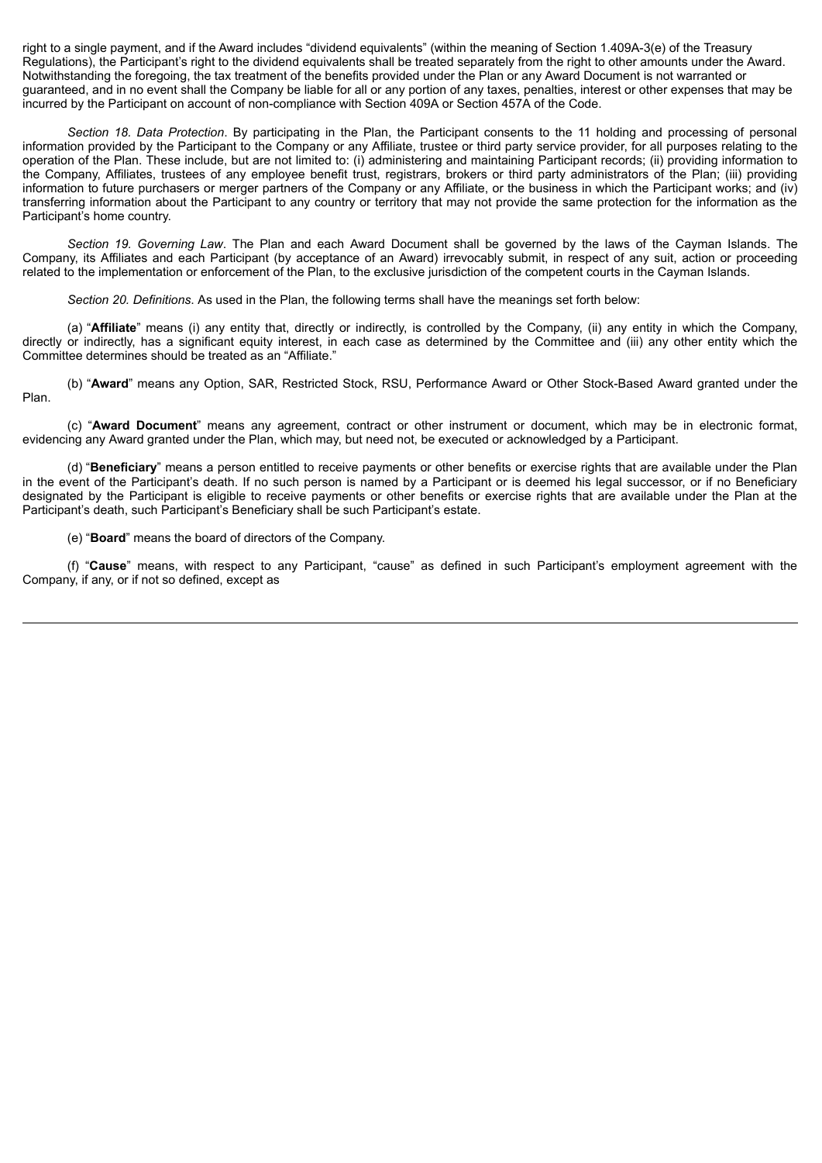right to a single payment, and if the Award includes "dividend equivalents" (within the meaning of Section 1.409A-3(e) of the Treasury Regulations), the Participant's right to the dividend equivalents shall be treated separately from the right to other amounts under the Award. Notwithstanding the foregoing, the tax treatment of the benefits provided under the Plan or any Award Document is not warranted or guaranteed, and in no event shall the Company be liable for all or any portion of any taxes, penalties, interest or other expenses that may be incurred by the Participant on account of non-compliance with Section 409A or Section 457A of the Code.

*Section 18. Data Protection*. By participating in the Plan, the Participant consents to the 11 holding and processing of personal information provided by the Participant to the Company or any Affiliate, trustee or third party service provider, for all purposes relating to the operation of the Plan. These include, but are not limited to: (i) administering and maintaining Participant records; (ii) providing information to the Company, Affiliates, trustees of any employee benefit trust, registrars, brokers or third party administrators of the Plan; (iii) providing information to future purchasers or merger partners of the Company or any Affiliate, or the business in which the Participant works; and (iv) transferring information about the Participant to any country or territory that may not provide the same protection for the information as the Participant's home country.

*Section 19. Governing Law*. The Plan and each Award Document shall be governed by the laws of the Cayman Islands. The Company, its Affiliates and each Participant (by acceptance of an Award) irrevocably submit, in respect of any suit, action or proceeding related to the implementation or enforcement of the Plan, to the exclusive jurisdiction of the competent courts in the Cayman Islands.

*Section 20. Definitions*. As used in the Plan, the following terms shall have the meanings set forth below:

(a) "**Affiliate**" means (i) any entity that, directly or indirectly, is controlled by the Company, (ii) any entity in which the Company, directly or indirectly, has a significant equity interest, in each case as determined by the Committee and (iii) any other entity which the Committee determines should be treated as an "Affiliate."

(b) "**Award**" means any Option, SAR, Restricted Stock, RSU, Performance Award or Other Stock-Based Award granted under the Plan.

(c) "**Award Document**" means any agreement, contract or other instrument or document, which may be in electronic format, evidencing any Award granted under the Plan, which may, but need not, be executed or acknowledged by a Participant.

(d) "**Beneficiary**" means a person entitled to receive payments or other benefits or exercise rights that are available under the Plan in the event of the Participant's death. If no such person is named by a Participant or is deemed his legal successor, or if no Beneficiary designated by the Participant is eligible to receive payments or other benefits or exercise rights that are available under the Plan at the Participant's death, such Participant's Beneficiary shall be such Participant's estate.

(e) "**Board**" means the board of directors of the Company.

(f) "**Cause**" means, with respect to any Participant, "cause" as defined in such Participant's employment agreement with the Company, if any, or if not so defined, except as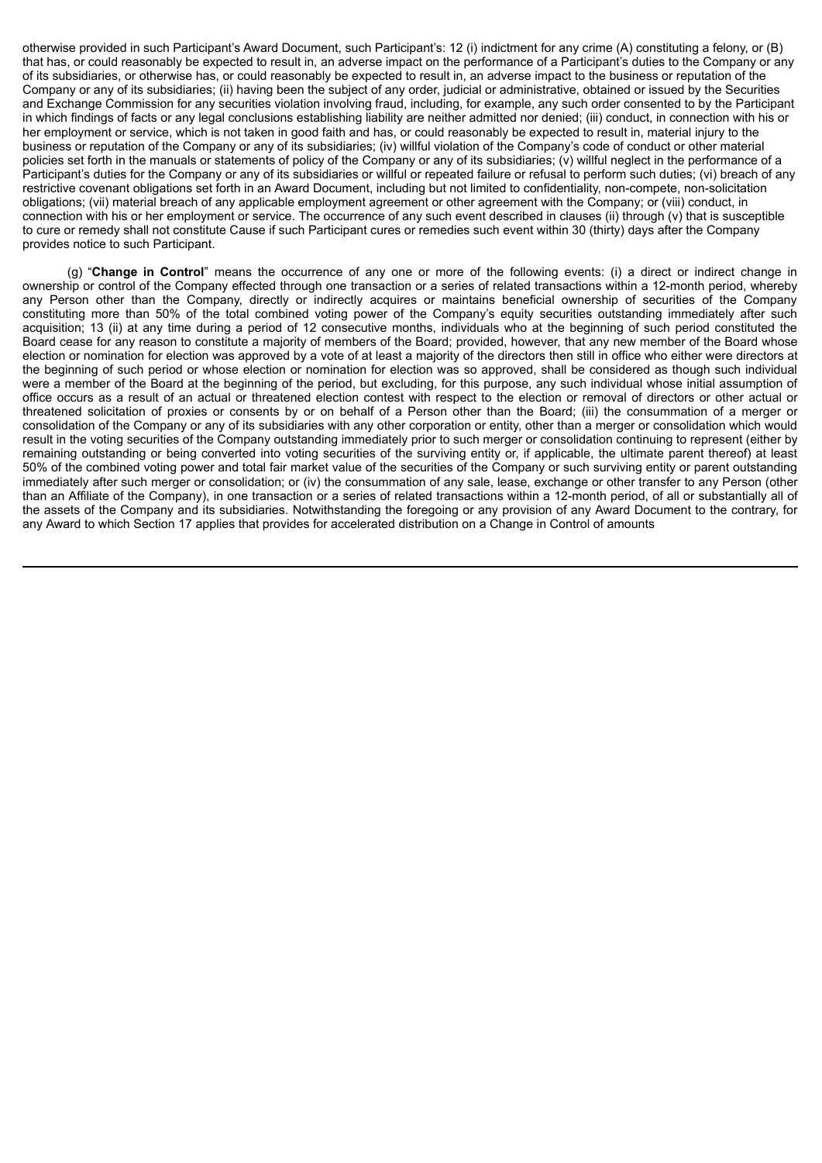otherwise provided in such Participant's Award Document, such Participant's: 12 (i) indictment for any crime (A) constituting a felony, or (B) that has, or could reasonably be expected to result in, an adverse impact on the performance of a Participant's duties to the Company or any of its subsidiaries, or otherwise has, or could reasonably be expected to result in, an adverse impact to the business or reputation of the Company or any of its subsidiaries; (ii) having been the subject of any order, judicial or administrative, obtained or issued by the Securities and Exchange Commission for any securities violation involving fraud, including, for example, any such order consented to by the Participant in which findings of facts or any legal conclusions establishing liability are neither admitted nor denied; (iii) conduct, in connection with his or her employment or service, which is not taken in good faith and has, or could reasonably be expected to result in, material injury to the business or reputation of the Company or any of its subsidiaries; (iv) willful violation of the Company's code of conduct or other material policies set forth in the manuals or statements of policy of the Company or any of its subsidiaries; (v) willful neglect in the performance of a Participant's duties for the Company or any of its subsidiaries or willful or repeated failure or refusal to perform such duties; (vi) breach of any restrictive covenant obligations set forth in an Award Document, including but not limited to confidentiality, non-compete, non-solicitation obligations; (vii) material breach of any applicable employment agreement or other agreement with the Company; or (viii) conduct, in connection with his or her employment or service. The occurrence of any such event described in clauses (ii) through (v) that is susceptible to cure or remedy shall not constitute Cause if such Participant cures or remedies such event within 30 (thirty) days after the Company provides notice to such Participant.

(g) "**Change in Control**" means the occurrence of any one or more of the following events: (i) a direct or indirect change in ownership or control of the Company effected through one transaction or a series of related transactions within a 12-month period, whereby any Person other than the Company, directly or indirectly acquires or maintains beneficial ownership of securities of the Company constituting more than 50% of the total combined voting power of the Company's equity securities outstanding immediately after such acquisition; 13 (ii) at any time during a period of 12 consecutive months, individuals who at the beginning of such period constituted the Board cease for any reason to constitute a majority of members of the Board; provided, however, that any new member of the Board whose election or nomination for election was approved by a vote of at least a majority of the directors then still in office who either were directors at the beginning of such period or whose election or nomination for election was so approved, shall be considered as though such individual were a member of the Board at the beginning of the period, but excluding, for this purpose, any such individual whose initial assumption of office occurs as a result of an actual or threatened election contest with respect to the election or removal of directors or other actual or threatened solicitation of proxies or consents by or on behalf of a Person other than the Board; (iii) the consummation of a merger or consolidation of the Company or any of its subsidiaries with any other corporation or entity, other than a merger or consolidation which would result in the voting securities of the Company outstanding immediately prior to such merger or consolidation continuing to represent (either by remaining outstanding or being converted into voting securities of the surviving entity or, if applicable, the ultimate parent thereof) at least 50% of the combined voting power and total fair market value of the securities of the Company or such surviving entity or parent outstanding immediately after such merger or consolidation; or (iv) the consummation of any sale, lease, exchange or other transfer to any Person (other than an Affiliate of the Company), in one transaction or a series of related transactions within a 12-month period, of all or substantially all of the assets of the Company and its subsidiaries. Notwithstanding the foregoing or any provision of any Award Document to the contrary, for any Award to which Section 17 applies that provides for accelerated distribution on a Change in Control of amounts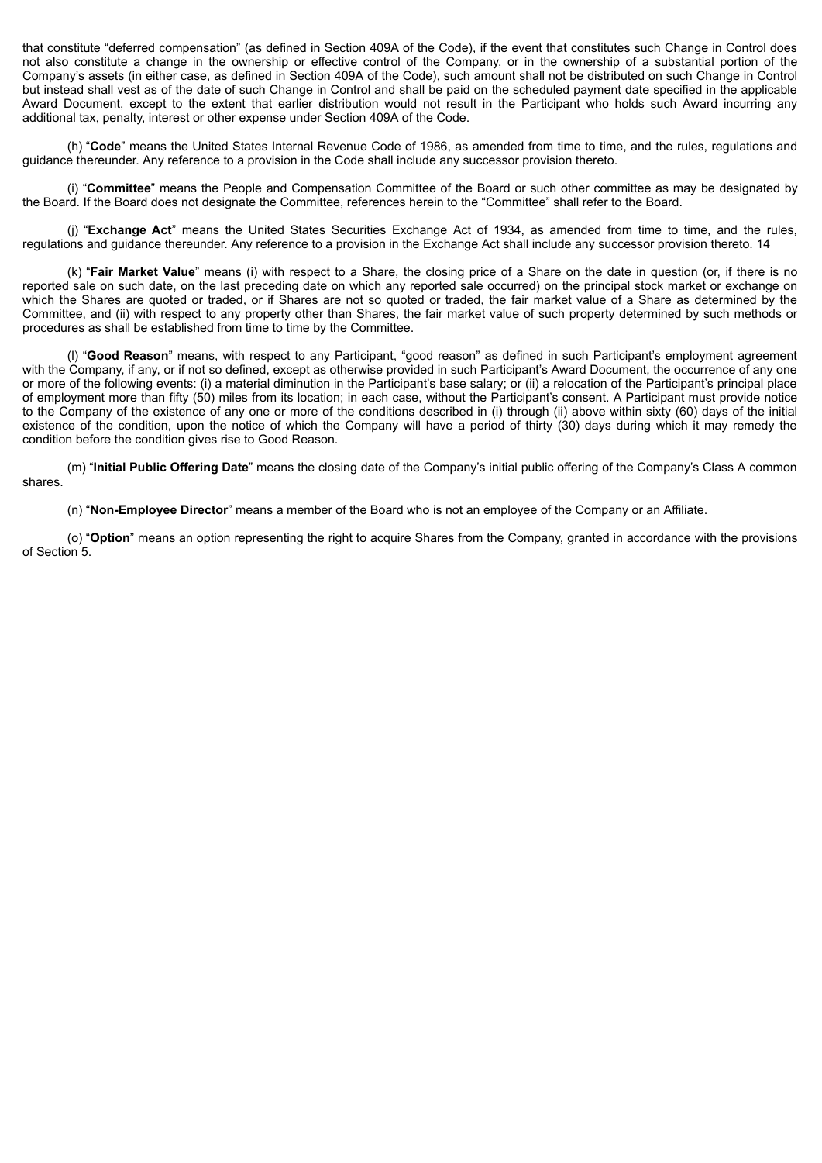that constitute "deferred compensation" (as defined in Section 409A of the Code), if the event that constitutes such Change in Control does not also constitute a change in the ownership or effective control of the Company, or in the ownership of a substantial portion of the Company's assets (in either case, as defined in Section 409A of the Code), such amount shall not be distributed on such Change in Control but instead shall vest as of the date of such Change in Control and shall be paid on the scheduled payment date specified in the applicable Award Document, except to the extent that earlier distribution would not result in the Participant who holds such Award incurring any additional tax, penalty, interest or other expense under Section 409A of the Code.

(h) "**Code**" means the United States Internal Revenue Code of 1986, as amended from time to time, and the rules, regulations and guidance thereunder. Any reference to a provision in the Code shall include any successor provision thereto.

(i) "**Committee**" means the People and Compensation Committee of the Board or such other committee as may be designated by the Board. If the Board does not designate the Committee, references herein to the "Committee" shall refer to the Board.

(j) "**Exchange Act**" means the United States Securities Exchange Act of 1934, as amended from time to time, and the rules, regulations and guidance thereunder. Any reference to a provision in the Exchange Act shall include any successor provision thereto. 14

(k) "**Fair Market Value**" means (i) with respect to a Share, the closing price of a Share on the date in question (or, if there is no reported sale on such date, on the last preceding date on which any reported sale occurred) on the principal stock market or exchange on which the Shares are quoted or traded, or if Shares are not so quoted or traded, the fair market value of a Share as determined by the Committee, and (ii) with respect to any property other than Shares, the fair market value of such property determined by such methods or procedures as shall be established from time to time by the Committee.

(l) "**Good Reason**" means, with respect to any Participant, "good reason" as defined in such Participant's employment agreement with the Company, if any, or if not so defined, except as otherwise provided in such Participant's Award Document, the occurrence of any one or more of the following events: (i) a material diminution in the Participant's base salary; or (ii) a relocation of the Participant's principal place of employment more than fifty (50) miles from its location; in each case, without the Participant's consent. A Participant must provide notice to the Company of the existence of any one or more of the conditions described in (i) through (ii) above within sixty (60) days of the initial existence of the condition, upon the notice of which the Company will have a period of thirty (30) days during which it may remedy the condition before the condition gives rise to Good Reason.

(m) "**Initial Public Offering Date**" means the closing date of the Company's initial public offering of the Company's Class A common shares.

(n) "**Non-Employee Director**" means a member of the Board who is not an employee of the Company or an Affiliate.

(o) "**Option**" means an option representing the right to acquire Shares from the Company, granted in accordance with the provisions of Section 5.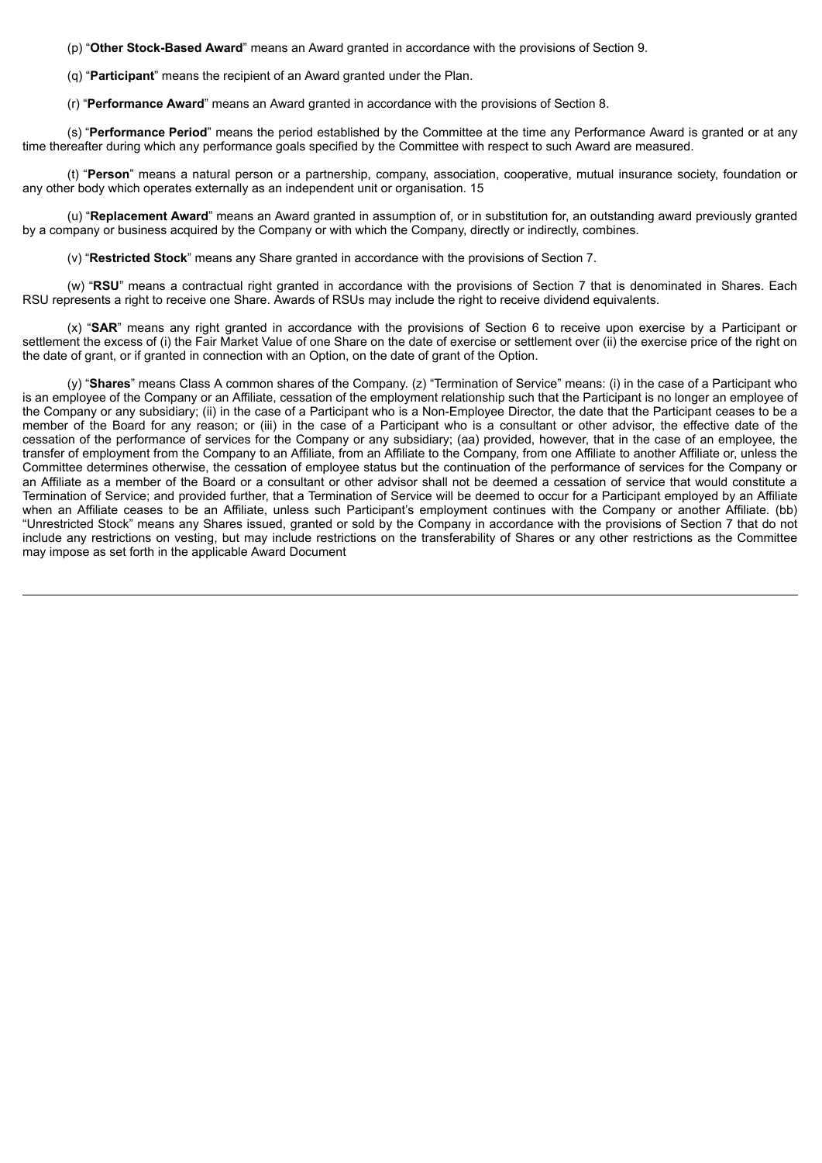(p) "**Other Stock-Based Award**" means an Award granted in accordance with the provisions of Section 9.

- (q) "**Participant**" means the recipient of an Award granted under the Plan.
- (r) "**Performance Award**" means an Award granted in accordance with the provisions of Section 8.

(s) "**Performance Period**" means the period established by the Committee at the time any Performance Award is granted or at any time thereafter during which any performance goals specified by the Committee with respect to such Award are measured.

(t) "**Person**" means a natural person or a partnership, company, association, cooperative, mutual insurance society, foundation or any other body which operates externally as an independent unit or organisation. 15

(u) "**Replacement Award**" means an Award granted in assumption of, or in substitution for, an outstanding award previously granted by a company or business acquired by the Company or with which the Company, directly or indirectly, combines.

(v) "**Restricted Stock**" means any Share granted in accordance with the provisions of Section 7.

(w) "**RSU**" means a contractual right granted in accordance with the provisions of Section 7 that is denominated in Shares. Each RSU represents a right to receive one Share. Awards of RSUs may include the right to receive dividend equivalents.

(x) "**SAR**" means any right granted in accordance with the provisions of Section 6 to receive upon exercise by a Participant or settlement the excess of (i) the Fair Market Value of one Share on the date of exercise or settlement over (ii) the exercise price of the right on the date of grant, or if granted in connection with an Option, on the date of grant of the Option.

(y) "**Shares**" means Class A common shares of the Company. (z) "Termination of Service" means: (i) in the case of a Participant who is an employee of the Company or an Affiliate, cessation of the employment relationship such that the Participant is no longer an employee of the Company or any subsidiary; (ii) in the case of a Participant who is a Non-Employee Director, the date that the Participant ceases to be a member of the Board for any reason; or (iii) in the case of a Participant who is a consultant or other advisor, the effective date of the cessation of the performance of services for the Company or any subsidiary; (aa) provided, however, that in the case of an employee, the transfer of employment from the Company to an Affiliate, from an Affiliate to the Company, from one Affiliate to another Affiliate or, unless the Committee determines otherwise, the cessation of employee status but the continuation of the performance of services for the Company or an Affiliate as a member of the Board or a consultant or other advisor shall not be deemed a cessation of service that would constitute a Termination of Service; and provided further, that a Termination of Service will be deemed to occur for a Participant employed by an Affiliate when an Affiliate ceases to be an Affiliate, unless such Participant's employment continues with the Company or another Affiliate. (bb) "Unrestricted Stock" means any Shares issued, granted or sold by the Company in accordance with the provisions of Section 7 that do not include any restrictions on vesting, but may include restrictions on the transferability of Shares or any other restrictions as the Committee may impose as set forth in the applicable Award Document